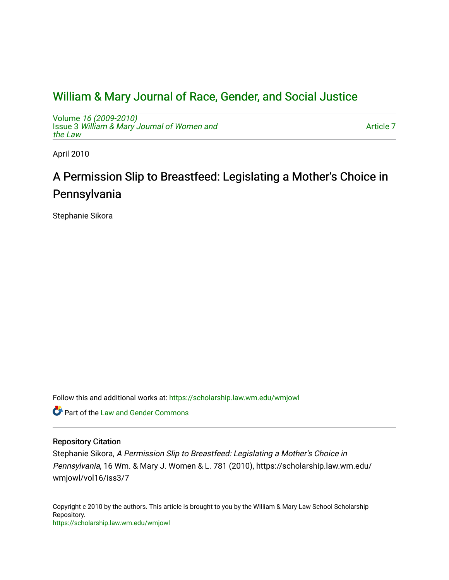## [William & Mary Journal of Race, Gender, and Social Justice](https://scholarship.law.wm.edu/wmjowl)

Volume [16 \(2009-2010\)](https://scholarship.law.wm.edu/wmjowl/vol16)  Issue 3 [William & Mary Journal of Women and](https://scholarship.law.wm.edu/wmjowl/vol16/iss3) [the Law](https://scholarship.law.wm.edu/wmjowl/vol16/iss3)

[Article 7](https://scholarship.law.wm.edu/wmjowl/vol16/iss3/7) 

April 2010

# A Permission Slip to Breastfeed: Legislating a Mother's Choice in Pennsylvania

Stephanie Sikora

Follow this and additional works at: [https://scholarship.law.wm.edu/wmjowl](https://scholarship.law.wm.edu/wmjowl?utm_source=scholarship.law.wm.edu%2Fwmjowl%2Fvol16%2Fiss3%2F7&utm_medium=PDF&utm_campaign=PDFCoverPages) 

Part of the [Law and Gender Commons](http://network.bepress.com/hgg/discipline/1298?utm_source=scholarship.law.wm.edu%2Fwmjowl%2Fvol16%2Fiss3%2F7&utm_medium=PDF&utm_campaign=PDFCoverPages) 

## Repository Citation

Stephanie Sikora, A Permission Slip to Breastfeed: Legislating a Mother's Choice in Pennsylvania, 16 Wm. & Mary J. Women & L. 781 (2010), https://scholarship.law.wm.edu/ wmjowl/vol16/iss3/7

Copyright c 2010 by the authors. This article is brought to you by the William & Mary Law School Scholarship Repository. <https://scholarship.law.wm.edu/wmjowl>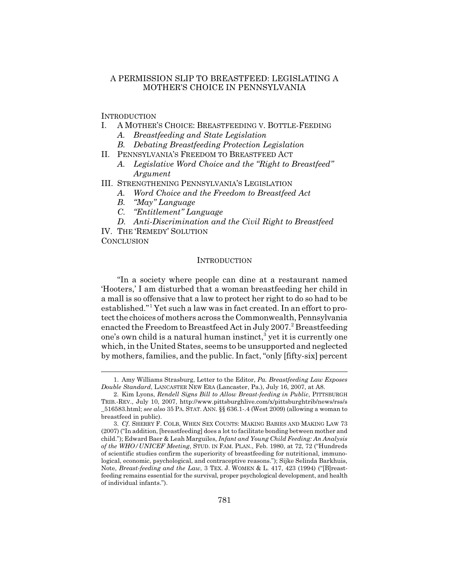## A PERMISSION SLIP TO BREASTFEED: LEGISLATING A MOTHER'S CHOICE IN PENNSYLVANIA

**INTRODUCTION** 

- I. A MOTHER'S CHOICE: BREASTFEEDING V. BOTTLE-FEEDING
	- *A. Breastfeeding and State Legislation*
	- *B. Debating Breastfeeding Protection Legislation*
- II. PENNSYLVANIA'S FREEDOM TO BREASTFEED ACT
	- *A. Legislative Word Choice and the "Right to Breastfeed" Argument*
- III. STRENGTHENING PENNSYLVANIA'S LEGISLATION
	- *A. Word Choice and the Freedom to Breastfeed Act*
	- *B. "May" Language*
	- *C. "Entitlement" Language*
	- *D. Anti-Discrimination and the Civil Right to Breastfeed*

IV. THE 'REMEDY' SOLUTION

**CONCLUSION** 

#### INTRODUCTION

"In a society where people can dine at a restaurant named 'Hooters,' I am disturbed that a woman breastfeeding her child in a mall is so offensive that a law to protect her right to do so had to be established."<sup>1</sup> Yet such a law was in fact created. In an effort to protect the choices of mothers across the Commonwealth, Pennsylvania enacted the Freedom to Breastfeed Act in July 2007.<sup>2</sup> Breastfeeding one's own child is a natural human instinct, $^3$  yet it is currently one which, in the United States, seems to be unsupported and neglected by mothers, families, and the public. In fact, "only [fifty-six] percent

<sup>1.</sup> Amy Williams Strasburg, Letter to the Editor, *Pa. Breastfeeding Law Exposes Double Standard*, LANCASTER NEW ERA (Lancaster, Pa.), July 16, 2007, at A8.

<sup>2.</sup> Kim Lyons, *Rendell Signs Bill to Allow Breast-feeding in Public*, PITTSBURGH TRIB.-REV., July 10, 2007, http://www.pittsburghlive.com/x/pittsburghtrib/news/rss/s \_516583.html; *see also* 35 PA. STAT. ANN. §§ 636.1-.4 (West 2009) (allowing a woman to breastfeed in public).

<sup>3.</sup> *Cf*. SHERRY F. COLB, WHEN SEX COUNTS: MAKING BABIES AND MAKING LAW 73 (2007) ("In addition, [breastfeeding] does a lot to facilitate bonding between mother and child."); Edward Baer & Leah Marguiles, *Infant and Young Child Feeding: An Analysis of the WHO/UNICEF Meeting*, STUD. IN FAM. PLAN., Feb. 1980, at 72, 72 ("Hundreds of scientific studies confirm the superiority of breastfeeding for nutritional, immunological, economic, psychological, and contraceptive reasons."); Sijke Selinda Barkhuis, Note, *Breast-feeding and the Law*, 3 TEX. J. WOMEN & L. 417, 423 (1994) ("[B]reastfeeding remains essential for the survival, proper psychological development, and health of individual infants.").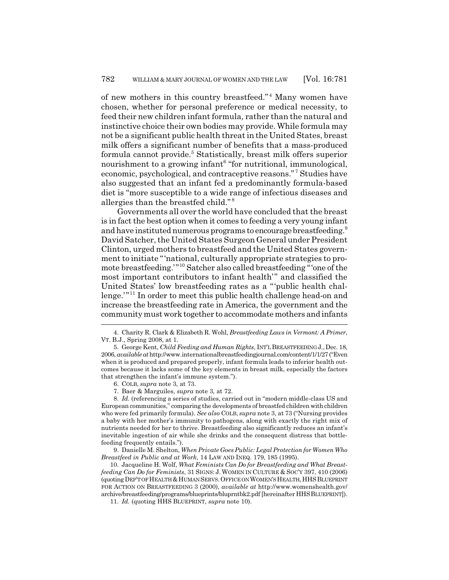of new mothers in this country breastfeed."<sup>4</sup> Many women have chosen, whether for personal preference or medical necessity, to feed their new children infant formula, rather than the natural and instinctive choice their own bodies may provide. While formula may not be a significant public health threat in the United States, breast milk offers a significant number of benefits that a mass-produced formula cannot provide.<sup>5</sup> Statistically, breast milk offers superior nourishment to a growing infant<sup>6</sup> "for nutritional, immunological, economic, psychological, and contraceptive reasons."<sup>7</sup> Studies have also suggested that an infant fed a predominantly formula-based diet is "more susceptible to a wide range of infectious diseases and allergies than the breastfed child." <sup>8</sup>

Governments all over the world have concluded that the breast is in fact the best option when it comes to feeding a very young infant and have instituted numerous programs to encourage breastfeeding.<sup>9</sup> David Satcher, the United States Surgeon General under President Clinton, urged mothers to breastfeed and the United States government to initiate "'national, culturally appropriate strategies to promote breastfeeding.'"10 Satcher also called breastfeeding "'one of the most important contributors to infant health'" and classified the United States' low breastfeeding rates as a "'public health challenge."<sup>11</sup> In order to meet this public health challenge head-on and increase the breastfeeding rate in America, the government and the community must work together to accommodate mothers and infants

9. Danielle M. Shelton, *When Private Goes Public: Legal Protection for Women Who Breastfeed in Public and at Work*, 14 LAW AND INEQ. 179, 185 (1995).

10. Jacqueline H. Wolf, *What Feminists Can Do for Breastfeeding and What Breastfeeding Can Do for Feminists*, 31 SIGNS: J. WOMEN IN CULTURE & SOC'Y 397, 410 (2006) (quoting DEP'T OF HEALTH & HUMAN SERVS. OFFICE ON WOMEN'S HEALTH, HHS BLUEPRINT FOR ACTION ON BREASTFEEDING 3 (2000), *available at* http://www.womenshealth.gov/ archive/breastfeeding/programs/blueprints/bluprntbk2.pdf [hereinafter HHSBLUEPRINT]).

11. *Id.* (quoting HHS BLUEPRINT, *supra* note 10).

<sup>4.</sup> Charity R. Clark & Elizabeth R. Wohl, *Breastfeeding Laws in Vermont: A Primer*, VT. B.J., Spring 2008, at 1.

<sup>5.</sup> George Kent, *Child Feeding and Human Rights*, INT'L BREASTFEEDING J.,Dec. 18, 2006, *available at* http://www.internationalbreastfeedingjournal.com/content/1/1/27 ("Even when it is produced and prepared properly, infant formula leads to inferior health outcomes because it lacks some of the key elements in breast milk, especially the factors that strengthen the infant's immune system.").

<sup>6.</sup> COLB, *supra* note 3, at 73.

<sup>7.</sup> Baer & Marguiles, *supra* note 3, at 72.

<sup>8.</sup> *Id.* (referencing a series of studies, carried out in "modern middle-class US and European communities," comparing the developments of breastfed children with children who were fed primarily formula). *See also* COLB, *supra* note 3, at 73 ("Nursing provides a baby with her mother's immunity to pathogens, along with exactly the right mix of nutrients needed for her to thrive. Breastfeeding also significantly reduces an infant's inevitable ingestion of air while she drinks and the consequent distress that bottlefeeding frequently entails.").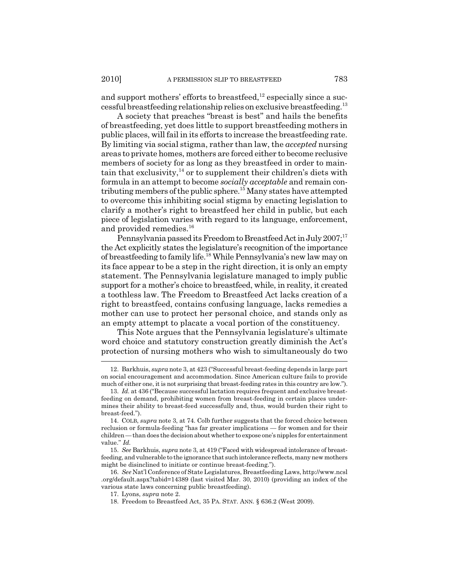and support mothers' efforts to breastfeed,  $12$  especially since a successful breastfeeding relationship relies on exclusive breastfeeding.13

A society that preaches "breast is best" and hails the benefits of breastfeeding, yet does little to support breastfeeding mothers in public places, will fail in its efforts to increase the breastfeeding rate. By limiting via social stigma, rather than law, the *accepted* nursing areas to private homes, mothers are forced either to become reclusive members of society for as long as they breastfeed in order to maintain that exclusivity, $14$  or to supplement their children's diets with formula in an attempt to become *socially acceptable* and remain contributing members of the public sphere.<sup>15</sup> Many states have attempted to overcome this inhibiting social stigma by enacting legislation to clarify a mother's right to breastfeed her child in public, but each piece of legislation varies with regard to its language, enforcement, and provided remedies.<sup>16</sup>

Pennsylvania passed its Freedom to Breastfeed Act in July  $2007$ ;<sup>17</sup> the Act explicitly states the legislature's recognition of the importance of breastfeeding to family life.18 While Pennsylvania's new law may on its face appear to be a step in the right direction, it is only an empty statement. The Pennsylvania legislature managed to imply public support for a mother's choice to breastfeed, while, in reality, it created a toothless law. The Freedom to Breastfeed Act lacks creation of a right to breastfeed, contains confusing language, lacks remedies a mother can use to protect her personal choice, and stands only as an empty attempt to placate a vocal portion of the constituency.

This Note argues that the Pennsylvania legislature's ultimate word choice and statutory construction greatly diminish the Act's protection of nursing mothers who wish to simultaneously do two

<sup>12.</sup> Barkhuis, *supra* note 3, at 423 ("Successful breast-feeding depends in large part on social encouragement and accommodation. Since American culture fails to provide much of either one, it is not surprising that breast-feeding rates in this country are low.").

<sup>13.</sup> *Id.* at 436 ("Because successful lactation requires frequent and exclusive breastfeeding on demand, prohibiting women from breast-feeding in certain places undermines their ability to breast-feed successfully and, thus, would burden their right to breast-feed.").

<sup>14.</sup> COLB, *supra* note 3, at 74. Colb further suggests that the forced choice between reclusion or formula-feeding "has far greater implications — for women and for their children — than does the decision about whether to expose one's nipples for entertainment value." *Id.*

<sup>15.</sup> *See* Barkhuis, *supra* note 3, at 419 ("Faced with widespread intolerance of breastfeeding, and vulnerable to the ignorance that such intolerance reflects, many new mothers might be disinclined to initiate or continue breast-feeding.").

<sup>16.</sup> *See* Nat'l Conference of State Legislatures, Breastfeeding Laws, http://www.ncsl .org/default.aspx?tabid=14389 (last visited Mar. 30, 2010) (providing an index of the various state laws concerning public breastfeeding).

<sup>17.</sup> Lyons, *supra* note 2.

<sup>18.</sup> Freedom to Breastfeed Act, 35 PA. STAT. ANN. § 636.2 (West 2009).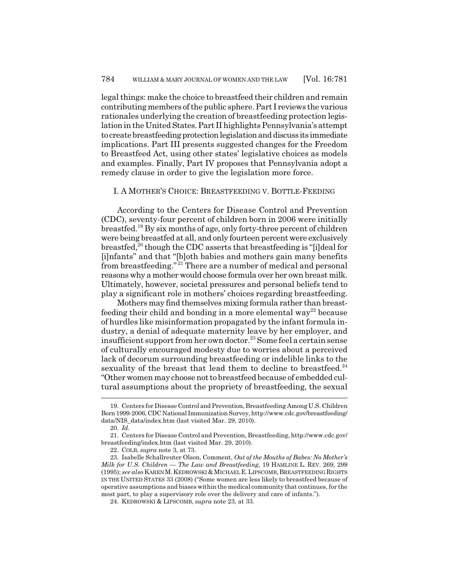legal things: make the choice to breastfeed their children and remain contributing members of the public sphere. Part I reviews the various rationales underlying the creation of breastfeeding protection legislation in the United States. Part II highlights Pennsylvania's attempt to create breastfeeding protection legislation and discuss its immediate implications. Part III presents suggested changes for the Freedom to Breastfeed Act, using other states' legislative choices as models and examples. Finally, Part IV proposes that Pennsylvania adopt a remedy clause in order to give the legislation more force.

#### I. A MOTHER'S CHOICE: BREASTFEEDING V. BOTTLE-FEEDING

According to the Centers for Disease Control and Prevention (CDC), seventy-four percent of children born in 2006 were initially breastfed.19 By six months of age, only forty-three percent of children were being breastfed at all, and only fourteen percent were exclusively breastfed,20 though the CDC asserts that breastfeeding is "[i]deal for [i]nfants" and that "[b]oth babies and mothers gain many benefits from breastfeeding." 21 There are a number of medical and personal reasons why a mother would choose formula over her own breast milk. Ultimately, however, societal pressures and personal beliefs tend to play a significant role in mothers' choices regarding breastfeeding.

Mothers may find themselves mixing formula rather than breastfeeding their child and bonding in a more elemental way<sup>22</sup> because of hurdles like misinformation propagated by the infant formula industry, a denial of adequate maternity leave by her employer, and insufficient support from her own doctor.<sup>23</sup> Some feel a certain sense of culturally encouraged modesty due to worries about a perceived lack of decorum surrounding breastfeeding or indelible links to the sexuality of the breast that lead them to decline to breastfeed.<sup>24</sup> "Other women may choose not to breastfeed because of embedded cultural assumptions about the propriety of breastfeeding, the sexual

<sup>19.</sup> Centers for Disease Control and Prevention, Breastfeeding Among U.S. Children Born 1999-2006, CDC National Immunization Survey, http://www.cdc.gov/breastfeeding/ data/NIS\_data/index.htm (last visited Mar. 29, 2010).

<sup>20.</sup> *Id.*

<sup>21.</sup> Centers for Disease Control and Prevention, Breastfeeding, http://www.cdc.gov/ breastfeeding/index.htm (last visited Mar. 29, 2010).

<sup>22.</sup> COLB, *supra* note 3, at 73.

<sup>23.</sup> Isabelle Schallreuter Olson, Comment, *Out of the Mouths of Babes: No Mother's Milk for U.S. Children — The Law and Breastfeeding*, 19 HAMLINE L. REV. 269, 299 (1995); *see also* KAREN M.KEDROWSKI &MICHAEL E.LIPSCOMB, BREASTFEEDING RIGHTS IN THE UNITED STATES 33 (2008) ("Some women are less likely to breastfeed because of operative assumptions and biases within the medical community that continues, for the most part, to play a supervisory role over the delivery and care of infants.").

<sup>24.</sup> KEDROWSKI & LIPSCOMB, *supra* note 23, at 33.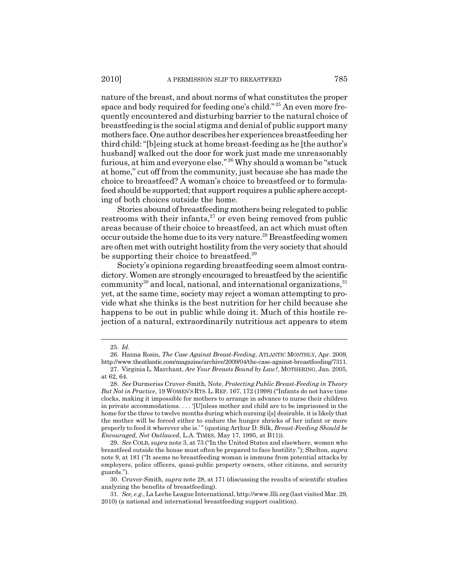nature of the breast, and about norms of what constitutes the proper space and body required for feeding one's child." 25 An even more frequently encountered and disturbing barrier to the natural choice of breastfeeding is the social stigma and denial of public support many mothers face. One author describes her experiences breastfeeding her third child: "[b]eing stuck at home breast-feeding as he [the author's husband] walked out the door for work just made me unreasonably furious, at him and everyone else."<sup>26</sup> Why should a woman be "stuck at home," cut off from the community, just because she has made the choice to breastfeed? A woman's choice to breastfeed or to formulafeed should be supported; that support requires a public sphere accepting of both choices outside the home.

Stories abound of breastfeeding mothers being relegated to public restrooms with their infants, $27$  or even being removed from public areas because of their choice to breastfeed, an act which must often occur outside the home due to its very nature.28 Breastfeeding women are often met with outright hostility from the very society that should be supporting their choice to breastfeed.<sup>29</sup>

Society's opinions regarding breastfeeding seem almost contradictory. Women are strongly encouraged to breastfeed by the scientific community<sup>30</sup> and local, national, and international organizations,  $31$ yet, at the same time, society may reject a woman attempting to provide what she thinks is the best nutrition for her child because she happens to be out in public while doing it. Much of this hostile rejection of a natural, extraordinarily nutritious act appears to stem

<sup>25.</sup> *Id.*

<sup>26.</sup> Hanna Rosin, *The Case Against Breast-Feeding*, ATLANTIC MONTHLY, Apr. 2009, http://www.theatlantic.com/magazine/archive/2009/04/the-case-against-breastfeeding/7311.

<sup>27.</sup> Virginia L. Marchant, *Are Your Breasts Bound by Law?*, MOTHERING, Jan. 2005, at 62, 64.

<sup>28.</sup> *See* Durmeriss Cruver-Smith, Note, *Protecting Public Breast-Feeding in Theory But Not in Practice*, 19 WOMEN'S RTS.L. REP. 167, 172 (1998) ("Infants do not have time clocks, making it impossible for mothers to arrange in advance to nurse their children in private accommodations. . . . '[U]nless mother and child are to be imprisoned in the home for the three to twelve months during which nursing i[s] desirable, it is likely that the mother will be forced either to endure the hunger shrieks of her infant or more properly to feed it wherever she is.'" (quoting Arthur D. Silk, *Breast-Feeding Should be Encouraged, Not Outlawed*, L.A. TIMES, May 17, 1995, at B11)).

<sup>29.</sup> *See* COLB, *supra* note 3, at 73 ("In the United States and elsewhere, women who breastfeed outside the house must often be prepared to face hostility."); Shelton, *supra* note 9, at 181 ("It seems no breastfeeding woman is immune from potential attacks by employers, police officers, quasi-public property owners, other citizens, and security guards.").

<sup>30.</sup> Cruver-Smith, *supra* note 28, at 171 (discussing the results of scientific studies analyzing the benefits of breastfeeding).

<sup>31.</sup> *See, e.g.*, La Leche League International, http://www.llli.org (last visited Mar. 29, 2010) (a national and international breastfeeding support coalition).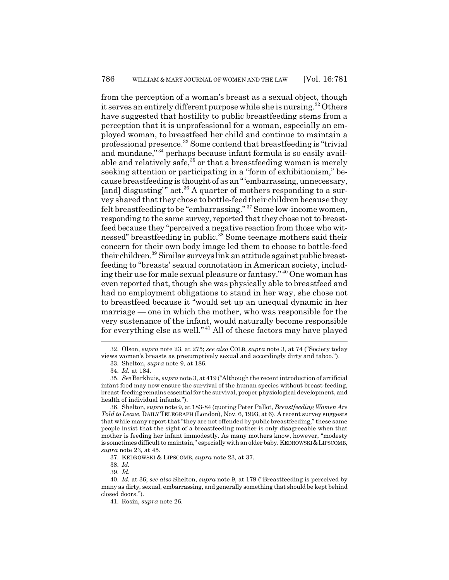from the perception of a woman's breast as a sexual object, though it serves an entirely different purpose while she is nursing.<sup>32</sup> Others have suggested that hostility to public breastfeeding stems from a perception that it is unprofessional for a woman, especially an employed woman, to breastfeed her child and continue to maintain a professional presence.33 Some contend that breastfeeding is "trivial and mundane,"<sup>34</sup> perhaps because infant formula is so easily available and relatively safe,  $35$  or that a breastfeeding woman is merely seeking attention or participating in a "form of exhibitionism," because breastfeeding is thought of as an "'embarrassing, unnecessary, [and] disgusting" act.<sup>36</sup> A quarter of mothers responding to a survey shared that they chose to bottle-feed their children because they felt breastfeeding to be "embarrassing." 37 Some low-income women, responding to the same survey, reported that they chose not to breastfeed because they "perceived a negative reaction from those who witnessed" breastfeeding in public.<sup>38</sup> Some teenage mothers said their concern for their own body image led them to choose to bottle-feed their children.39 Similar surveys link an attitude against public breastfeeding to "breasts' sexual connotation in American society, including their use for male sexual pleasure or fantasy." 40 One woman has even reported that, though she was physically able to breastfeed and had no employment obligations to stand in her way, she chose not to breastfeed because it "would set up an unequal dynamic in her marriage — one in which the mother, who was responsible for the very sustenance of the infant, would naturally become responsible for everything else as well." 41 All of these factors may have played

<sup>32.</sup> Olson, *supra* note 23, at 275; *see also* COLB, *supra* note 3, at 74 ("Society today views women's breasts as presumptively sexual and accordingly dirty and taboo.").

<sup>33.</sup> Shelton, *supra* note 9, at 186.

<sup>34.</sup> *Id.* at 184.

<sup>35.</sup> *See* Barkhuis, *supra* note 3, at 419 ("Although the recent introduction of artificial infant food may now ensure the survival of the human species without breast-feeding, breast-feeding remains essential for the survival, proper physiological development, and health of individual infants.").

<sup>36.</sup> Shelton, *supra* note 9, at 183-84 (quoting Peter Pallot, *Breastfeeding Women Are Told to Leave*, DAILY TELEGRAPH (London), Nov. 6, 1993, at 6). A recent survey suggests that while many report that "they are not offended by public breastfeeding," these same people insist that the sight of a breastfeeding mother is only disagreeable when that mother is feeding her infant immodestly. As many mothers know, however, "modesty is sometimes difficult to maintain," especially with an older baby. KEDROWSKI &LIPSCOMB, *supra* note 23, at 45.

<sup>37.</sup> KEDROWSKI & LIPSCOMB, *supra* note 23, at 37.

<sup>38.</sup> *Id.*

<sup>39.</sup> *Id.*

<sup>40.</sup> *Id.* at 36; *see also* Shelton, *supra* note 9, at 179 ("Breastfeeding is perceived by many as dirty, sexual, embarrassing, and generally something that should be kept behind closed doors.").

<sup>41.</sup> Rosin, *supra* note 26.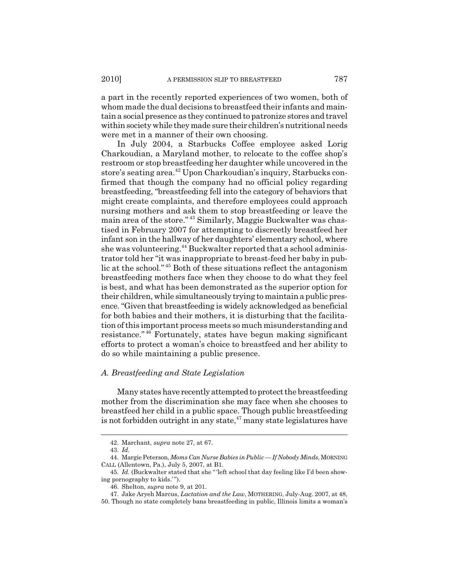a part in the recently reported experiences of two women, both of whom made the dual decisions to breastfeed their infants and maintain a social presence as they continued to patronize stores and travel within society while they made sure their children's nutritional needs were met in a manner of their own choosing.

In July 2004, a Starbucks Coffee employee asked Lorig Charkoudian, a Maryland mother, to relocate to the coffee shop's restroom or stop breastfeeding her daughter while uncovered in the store's seating area.<sup>42</sup> Upon Charkoudian's inquiry, Starbucks confirmed that though the company had no official policy regarding breastfeeding, "breastfeeding fell into the category of behaviors that might create complaints, and therefore employees could approach nursing mothers and ask them to stop breastfeeding or leave the main area of the store." 43 Similarly, Maggie Buckwalter was chastised in February 2007 for attempting to discreetly breastfeed her infant son in the hallway of her daughters' elementary school, where she was volunteering.<sup>44</sup> Buckwalter reported that a school administrator told her "it was inappropriate to breast-feed her baby in public at the school." 45 Both of these situations reflect the antagonism breastfeeding mothers face when they choose to do what they feel is best, and what has been demonstrated as the superior option for their children, while simultaneously trying to maintain a public presence. "Given that breastfeeding is widely acknowledged as beneficial for both babies and their mothers, it is disturbing that the facilitation of this important process meets so much misunderstanding and resistance." 46 Fortunately, states have begun making significant efforts to protect a woman's choice to breastfeed and her ability to do so while maintaining a public presence.

#### *A. Breastfeeding and State Legislation*

Many states have recently attempted to protect the breastfeeding mother from the discrimination she may face when she chooses to breastfeed her child in a public space. Though public breastfeeding is not forbidden outright in any state, $47$  many state legislatures have

<sup>42.</sup> Marchant, *supra* note 27, at 67.

<sup>43.</sup> *Id.*

<sup>44.</sup> Margie Peterson, *Moms Can Nurse Babies in Public — If Nobody Minds*, MORNING CALL (Allentown, Pa.), July 5, 2007, at B1.

<sup>45.</sup> *Id.* (Buckwalter stated that she " 'left school that day feeling like I'd been showing pornography to kids.").

<sup>46.</sup> Shelton, *supra* note 9, at 201.

<sup>47.</sup> Jake Aryeh Marcus, *Lactation and the Law*, MOTHERING, July-Aug. 2007, at 48,

<sup>50.</sup> Though no state completely bans breastfeeding in public, Illinois limits a woman's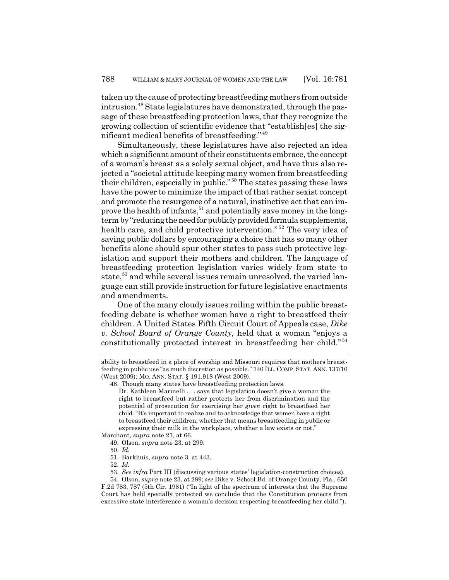taken up the cause of protecting breastfeeding mothers from outside intrusion.48 State legislatures have demonstrated, through the passage of these breastfeeding protection laws, that they recognize the growing collection of scientific evidence that "establish[es] the significant medical benefits of breastfeeding." <sup>49</sup>

Simultaneously, these legislatures have also rejected an idea which a significant amount of their constituents embrace, the concept of a woman's breast as a solely sexual object, and have thus also rejected a "societal attitude keeping many women from breastfeeding their children, especially in public." 50 The states passing these laws have the power to minimize the impact of that rather sexist concept and promote the resurgence of a natural, instinctive act that can improve the health of infants,  $51$  and potentially save money in the longterm by "reducing the need for publicly provided formula supplements, health care, and child protective intervention."<sup>52</sup> The very idea of saving public dollars by encouraging a choice that has so many other benefits alone should spur other states to pass such protective legislation and support their mothers and children. The language of breastfeeding protection legislation varies widely from state to state,<sup>53</sup> and while several issues remain unresolved, the varied language can still provide instruction for future legislative enactments and amendments.

One of the many cloudy issues roiling within the public breastfeeding debate is whether women have a right to breastfeed their children. A United States Fifth Circuit Court of Appeals case, *Dike v. School Board of Orange County*, held that a woman "enjoys a constitutionally protected interest in breastfeeding her child." <sup>54</sup>

ability to breastfeed in a place of worship and Missouri requires that mothers breastfeeding in public use "as much discretion as possible." 740 ILL. COMP.STAT. ANN. 137/10 (West 2009); MO. ANN. STAT. § 191.918 (West 2009).

<sup>48.</sup> Though many states have breastfeeding protection laws,

Dr. Kathleen Marinelli . . . says that legislation doesn't give a woman the right to breastfeed but rather protects her from discrimination and the potential of prosecution for exercising her *given* right to breastfeed her child. "It's important to realize and to acknowledge that women have a right to breastfeed their children, whether that means breastfeeding in public or expressing their milk in the workplace, whether a law exists or not."

Marchant, *supra* note 27, at 66. 49. Olson, *supra* note 23, at 299.

<sup>50.</sup> *Id.*

<sup>51.</sup> Barkhuis, *supra* note 3, at 443.

<sup>52.</sup> *Id.*

<sup>53.</sup> *See infra* Part III (discussing various states' legislation-construction choices).

<sup>54.</sup> Olson, *supra* note 23, at 289; *see* Dike v. School Bd. of Orange County, Fla., 650 F.2d 783, 787 (5th Cir. 1981) ("In light of the spectrum of interests that the Supreme Court has held specially protected we conclude that the Constitution protects from excessive state interference a woman's decision respecting breastfeeding her child.").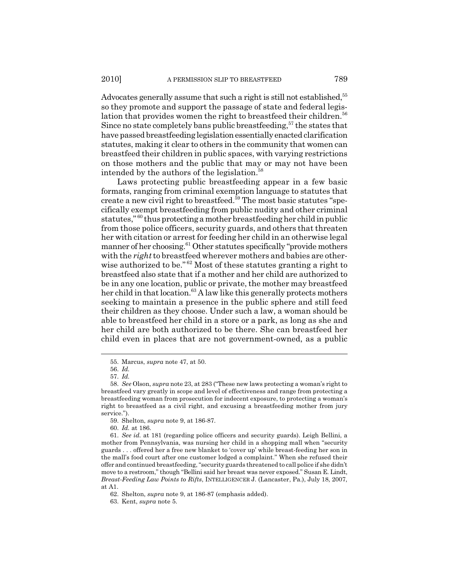Advocates generally assume that such a right is still not established,<sup>55</sup> so they promote and support the passage of state and federal legislation that provides women the right to breastfeed their children.<sup>56</sup> Since no state completely bans public breastfeeding,  $57$  the states that have passed breastfeeding legislation essentially enacted clarification statutes, making it clear to others in the community that women can breastfeed their children in public spaces, with varying restrictions on those mothers and the public that may or may not have been intended by the authors of the legislation.<sup>58</sup>

Laws protecting public breastfeeding appear in a few basic formats, ranging from criminal exemption language to statutes that create a new civil right to breastfeed.<sup>59</sup> The most basic statutes "specifically exempt breastfeeding from public nudity and other criminal statutes," 60 thus protecting a mother breastfeeding her child in public from those police officers, security guards, and others that threaten her with citation or arrest for feeding her child in an otherwise legal manner of her choosing.<sup>61</sup> Other statutes specifically "provide mothers with the *right* to breastfeed wherever mothers and babies are otherwise authorized to be."<sup>62</sup> Most of these statutes granting a right to breastfeed also state that if a mother and her child are authorized to be in any one location, public or private, the mother may breastfeed her child in that location.<sup>63</sup> A law like this generally protects mothers seeking to maintain a presence in the public sphere and still feed their children as they choose. Under such a law, a woman should be able to breastfeed her child in a store or a park, as long as she and her child are both authorized to be there. She can breastfeed her child even in places that are not government-owned, as a public

60. *Id.* at 186.

<sup>55.</sup> Marcus, *supra* note 47, at 50.

<sup>56.</sup> *Id.*

<sup>57.</sup> *Id.*

<sup>58.</sup> *See* Olson, *supra* note 23, at 283 ("These new laws protecting a woman's right to breastfeed vary greatly in scope and level of effectiveness and range from protecting a breastfeeding woman from prosecution for indecent exposure, to protecting a woman's right to breastfeed as a civil right, and excusing a breastfeeding mother from jury service.").

<sup>59.</sup> Shelton, *supra* note 9, at 186-87.

<sup>61.</sup> *See id.* at 181 (regarding police officers and security guards). Leigh Bellini, a mother from Pennsylvania, was nursing her child in a shopping mall when "security guards . . . offered her a free new blanket to 'cover up' while breast-feeding her son in the mall's food court after one customer lodged a complaint." When she refused their offer and continued breastfeeding, "security guards threatened to call police if she didn't move to a restroom," though "Bellini said her breast was never exposed." Susan E. Lindt, *Breast-Feeding Law Points to Rifts*, INTELLIGENCER J. (Lancaster, Pa.), July 18, 2007, at A1.

<sup>62.</sup> Shelton, *supra* note 9, at 186-87 (emphasis added).

<sup>63.</sup> Kent, *supra* note 5.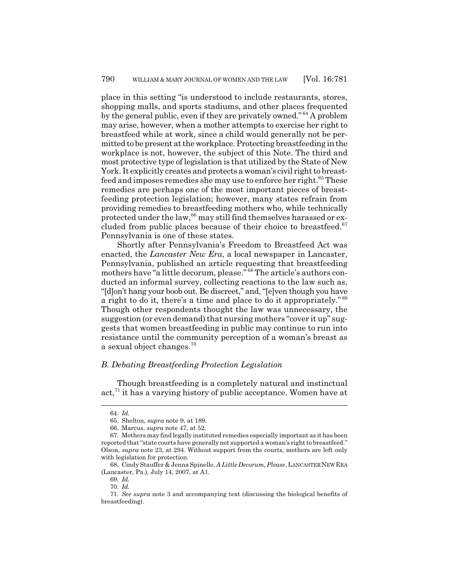place in this setting "is understood to include restaurants, stores, shopping malls, and sports stadiums, and other places frequented by the general public, even if they are privately owned." 64 A problem may arise, however, when a mother attempts to exercise her right to breastfeed while at work, since a child would generally not be permitted to be present at the workplace. Protecting breastfeeding in the workplace is not, however, the subject of this Note. The third and most protective type of legislation is that utilized by the State of New York. It explicitly creates and protects a woman's civil right to breastfeed and imposes remedies she may use to enforce her right.<sup>65</sup> These remedies are perhaps one of the most important pieces of breastfeeding protection legislation; however, many states refrain from providing remedies to breastfeeding mothers who, while technically protected under the law,  $66$  may still find themselves harassed or excluded from public places because of their choice to breastfeed. $67$ Pennsylvania is one of these states.

Shortly after Pennsylvania's Freedom to Breastfeed Act was enacted, the *Lancaster New Era*, a local newspaper in Lancaster, Pennsylvania, published an article requesting that breastfeeding mothers have "a little decorum, please." 68 The article's authors conducted an informal survey, collecting reactions to the law such as, "[d]on't hang your boob out. Be discreet," and, "[e]ven though you have a right to do it, there's a time and place to do it appropriately." <sup>69</sup> Though other respondents thought the law was unnecessary, the suggestion (or even demand) that nursing mothers "cover it up" suggests that women breastfeeding in public may continue to run into resistance until the community perception of a woman's breast as a sexual object changes.<sup>70</sup>

### *B. Debating Breastfeeding Protection Legislation*

Though breastfeeding is a completely natural and instinctual act, $71$  it has a varying history of public acceptance. Women have at

<sup>64.</sup> *Id.*

<sup>65.</sup> Shelton, *supra* note 9, at 189.

<sup>66.</sup> Marcus, *supra* note 47, at 52.

<sup>67.</sup> Mothers may find legally instituted remedies especially important as it has been reported that "state courts have generally not supported a woman's right to breastfeed." Olson, *supra* note 23, at 294. Without support from the courts, mothers are left only with legislation for protection.

<sup>68.</sup> Cindy Stauffer & Jenna Spinelle, *A Little Decorum, Please*, LANCASTER NEW ERA (Lancaster, Pa.), July 14, 2007, at A1.

<sup>69.</sup> *Id.*

<sup>70.</sup> *Id.*

<sup>71.</sup> *See supra* note 3 and accompanying text (discussing the biological benefits of breastfeeding).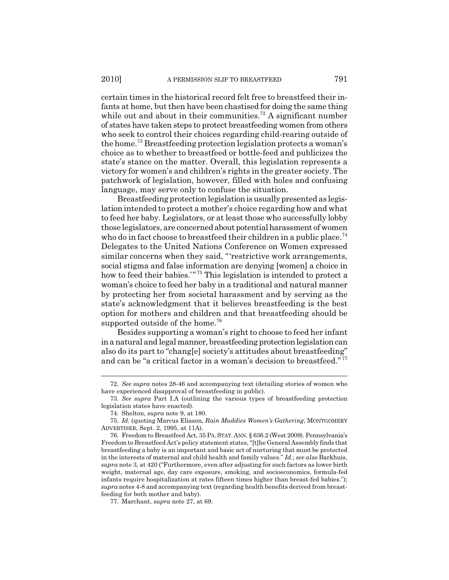certain times in the historical record felt free to breastfeed their infants at home, but then have been chastised for doing the same thing while out and about in their communities.<sup>72</sup> A significant number of states have taken steps to protect breastfeeding women from others who seek to control their choices regarding child-rearing outside of the home.73 Breastfeeding protection legislation protects a woman's choice as to whether to breastfeed or bottle-feed and publicizes the state's stance on the matter. Overall, this legislation represents a victory for women's and children's rights in the greater society. The patchwork of legislation, however, filled with holes and confusing language, may serve only to confuse the situation.

Breastfeeding protection legislation is usually presented as legislation intended to protect a mother's choice regarding how and what to feed her baby. Legislators, or at least those who successfully lobby those legislators, are concerned about potential harassment of women who do in fact choose to breastfeed their children in a public place.<sup>74</sup> Delegates to the United Nations Conference on Women expressed similar concerns when they said, "'restrictive work arrangements, social stigma and false information are denying [women] a choice in how to feed their babies."<sup>75</sup> This legislation is intended to protect a woman's choice to feed her baby in a traditional and natural manner by protecting her from societal harassment and by serving as the state's acknowledgment that it believes breastfeeding is the best option for mothers and children and that breastfeeding should be supported outside of the home.<sup>76</sup>

Besides supporting a woman's right to choose to feed her infant in a natural and legal manner, breastfeeding protection legislation can also do its part to "chang[e] society's attitudes about breastfeeding" and can be "a critical factor in a woman's decision to breastfeed." <sup>77</sup>

77. Marchant, *supra* note 27, at 69.

<sup>72.</sup> *See supra* notes 28-46 and accompanying text (detailing stories of women who have experienced disapproval of breastfeeding in public).

<sup>73.</sup> *See supra* Part I.A (outlining the various types of breastfeeding protection legislation states have enacted).

<sup>74.</sup> Shelton, *supra* note 9, at 180.

<sup>75.</sup> *Id.* (quoting Marcus Eliason, *Rain Muddies Women's Gathering*, MONTGOMERY ADVERTISER, Sept. 2, 1995, at 11A).

<sup>76.</sup> Freedom to Breastfeed Act, 35 PA.STAT. ANN. § 636.2 (West 2009). Pennsylvania's Freedom to Breastfeed Act's policy statement states, "[t]he General Assembly finds that breastfeeding a baby is an important and basic act of nurturing that must be protected in the interests of maternal and child health and family values." *Id.*; *see also* Barkhuis, *supra* note 3, at 420 ("Furthermore, even after adjusting for such factors as lower birth weight, maternal age, day care exposure, smoking, and socioeconomics, formula-fed infants require hospitalization at rates fifteen times higher than breast-fed babies."); *supra* notes 4-8 and accompanying text (regarding health benefits derived from breastfeeding for both mother and baby).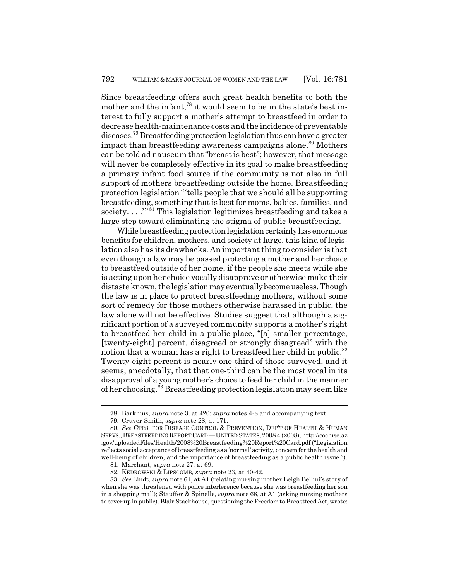Since breastfeeding offers such great health benefits to both the mother and the infant,<sup>78</sup> it would seem to be in the state's best interest to fully support a mother's attempt to breastfeed in order to decrease health-maintenance costs and the incidence of preventable diseases.79 Breastfeeding protection legislation thus can have a greater impact than breastfeeding awareness campaigns alone.<sup>80</sup> Mothers can be told ad nauseum that "breast is best"; however, that message will never be completely effective in its goal to make breastfeeding a primary infant food source if the community is not also in full support of mothers breastfeeding outside the home. Breastfeeding protection legislation "'tells people that we should all be supporting breastfeeding, something that is best for moms, babies, families, and society...."<sup>81</sup> This legislation legitimizes breastfeeding and takes a large step toward eliminating the stigma of public breastfeeding.

While breastfeeding protection legislation certainly has enormous benefits for children, mothers, and society at large, this kind of legislation also has its drawbacks. An important thing to consider is that even though a law may be passed protecting a mother and her choice to breastfeed outside of her home, if the people she meets while she is acting upon her choice vocally disapprove or otherwise make their distaste known, the legislation may eventually become useless. Though the law is in place to protect breastfeeding mothers, without some sort of remedy for those mothers otherwise harassed in public, the law alone will not be effective. Studies suggest that although a significant portion of a surveyed community supports a mother's right to breastfeed her child in a public place, "[a] smaller percentage, [twenty-eight] percent, disagreed or strongly disagreed" with the notion that a woman has a right to breastfeed her child in public.<sup>82</sup> Twenty-eight percent is nearly one-third of those surveyed, and it seems, anecdotally, that that one-third can be the most vocal in its disapproval of a young mother's choice to feed her child in the manner of her choosing.83 Breastfeeding protection legislation may seem like

<sup>78.</sup> Barkhuis, *supra* note 3, at 420; *supra* notes 4-8 and accompanying text.

<sup>79.</sup> Cruver-Smith, *supra* note 28, at 171.

<sup>80.</sup> *See* CTRS. FOR DISEASE CONTROL & PREVENTION, DEP'T OF HEALTH & HUMAN SERVS.,BREASTFEEDING REPORT CARD —UNITED STATES,2008 4 (2008), http://cochise.az .gov/uploadedFiles/Health/2008%20Breastfeeding%20Report%20Card.pdf ("Legislation reflects social acceptance of breastfeeding as a 'normal' activity, concern for the health and well-being of children, and the importance of breastfeeding as a public health issue.").

<sup>81.</sup> Marchant, *supra* note 27, at 69.

<sup>82.</sup> KEDROWSKI & LIPSCOMB, *supra* note 23, at 40-42.

<sup>83.</sup> *See* Lindt, *supra* note 61, at A1 (relating nursing mother Leigh Bellini's story of when she was threatened with police interference because she was breastfeeding her son in a shopping mall); Stauffer & Spinelle, *supra* note 68, at A1 (asking nursing mothers to cover up in public). Blair Stackhouse, questioning the Freedom to Breastfeed Act, wrote: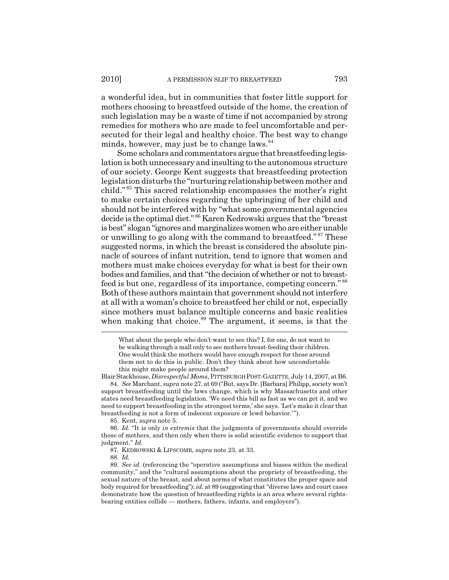a wonderful idea, but in communities that foster little support for mothers choosing to breastfeed outside of the home, the creation of such legislation may be a waste of time if not accompanied by strong remedies for mothers who are made to feel uncomfortable and persecuted for their legal and healthy choice. The best way to change minds, however, may just be to change laws.<sup>84</sup>

Some scholars and commentators argue that breastfeeding legislation is both unnecessary and insulting to the autonomous structure of our society. George Kent suggests that breastfeeding protection legislation disturbs the "nurturing relationship between mother and child." 85 This sacred relationship encompasses the mother's right to make certain choices regarding the upbringing of her child and should not be interfered with by "what some governmental agencies decide is the optimal diet." 86 Karen Kedrowski argues that the "breast is best" slogan "ignores and marginalizes women who are either unable or unwilling to go along with the command to breastfeed." 87 These suggested norms, in which the breast is considered the absolute pinnacle of sources of infant nutrition, tend to ignore that women and mothers must make choices everyday for what is best for their own bodies and families, and that "the decision of whether or not to breastfeed is but one, regardless of its importance, competing concern." <sup>88</sup> Both of these authors maintain that government should not interfere at all with a woman's choice to breastfeed her child or not, especially since mothers must balance multiple concerns and basic realities when making that choice.<sup>89</sup> The argument, it seems, is that the

85. Kent, *supra* note 5.

86. *Id.* "It is only *in extremis* that the judgments of governments should override those of mothers, and then only when there is solid scientific evidence to support that judgment." *Id.*

87. KEDROWSKI & LIPSCOMB, *supra* note 23, at 33.

88. *Id.*

What about the people who don't want to see this? I, for one, do not want to be walking through a mall only to see mothers breast-feeding their children. One would think the mothers would have enough respect for those around them not to do this in public. Don't they think about how uncomfortable this might make people around them?

Blair Stackhouse, *Disrespectful Moms*, PITTSBURGH POST-GAZETTE, July 14, 2007, at B6. 84. *See* Marchant, *supra* note 27, at 69 ("But, says Dr. [Barbara] Philipp, society won't support breastfeeding until the laws change, which is why Massachusetts and other states need breastfeeding legislation. 'We need this bill as fast as we can get it, and we need to support breastfeeding in the strongest terms,' she says. 'Let's make it clear that breastfeeding is not a form of indecent exposure or lewd behavior.' ").

<sup>89.</sup> *See id.* (referencing the "operative assumptions and biases within the medical community," and the "cultural assumptions about the propriety of breastfeeding, the sexual nature of the breast, and about norms of what constitutes the proper space and body required for breastfeeding"); *id.* at 89 (suggesting that "diverse laws and court cases demonstrate how the question of breastfeeding rights is an area where several rightsbearing entities collide — mothers, fathers, infants, and employers").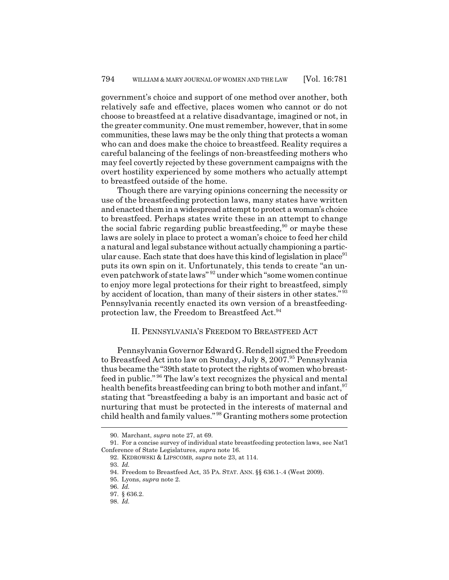government's choice and support of one method over another, both relatively safe and effective, places women who cannot or do not choose to breastfeed at a relative disadvantage, imagined or not, in the greater community. One must remember, however, that in some communities, these laws may be the only thing that protects a woman who can and does make the choice to breastfeed. Reality requires a careful balancing of the feelings of non-breastfeeding mothers who may feel covertly rejected by these government campaigns with the overt hostility experienced by some mothers who actually attempt to breastfeed outside of the home.

Though there are varying opinions concerning the necessity or use of the breastfeeding protection laws, many states have written and enacted them in a widespread attempt to protect a woman's choice to breastfeed. Perhaps states write these in an attempt to change the social fabric regarding public breastfeeding,<sup>90</sup> or maybe these laws are solely in place to protect a woman's choice to feed her child a natural and legal substance without actually championing a particular cause. Each state that does have this kind of legislation in place  $91$ puts its own spin on it. Unfortunately, this tends to create "an uneven patchwork of state laws" 92 under which "some women continue to enjoy more legal protections for their right to breastfeed, simply by accident of location, than many of their sisters in other states." <sup>93</sup> Pennsylvania recently enacted its own version of a breastfeedingprotection law, the Freedom to Breastfeed Act.<sup>94</sup>

#### II. PENNSYLVANIA'S FREEDOM TO BREASTFEED ACT

Pennsylvania Governor Edward G. Rendell signed the Freedom to Breastfeed Act into law on Sunday, July 8, 2007.<sup>95</sup> Pennsylvania thus became the "39th state to protect the rights of women who breastfeed in public." 96 The law's text recognizes the physical and mental health benefits breastfeeding can bring to both mother and infant, <sup>97</sup> stating that "breastfeeding a baby is an important and basic act of nurturing that must be protected in the interests of maternal and child health and family values." 98 Granting mothers some protection

<sup>90.</sup> Marchant, *supra* note 27, at 69.

<sup>91.</sup> For a concise survey of individual state breastfeeding protection laws, see Nat'l Conference of State Legislatures, *supra* note 16.

<sup>92.</sup> KEDROWSKI & LIPSCOMB, *supra* note 23, at 114.

<sup>93.</sup> *Id.*

<sup>94.</sup> Freedom to Breastfeed Act, 35 PA. STAT. ANN. §§ 636.1-.4 (West 2009).

<sup>95.</sup> Lyons, *supra* note 2.

<sup>96.</sup> *Id.*

<sup>97. § 636.2.</sup>

<sup>98.</sup> *Id.*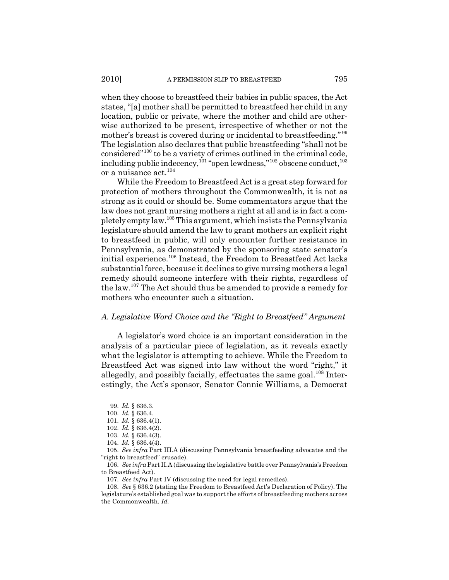when they choose to breastfeed their babies in public spaces, the Act states, "[a] mother shall be permitted to breastfeed her child in any location, public or private, where the mother and child are otherwise authorized to be present, irrespective of whether or not the mother's breast is covered during or incidental to breastfeeding."<sup>99</sup> The legislation also declares that public breastfeeding "shall not be considered"100 to be a variety of crimes outlined in the criminal code, including public indecency,<sup>101</sup> "open lewdness,"<sup>102</sup> obscene conduct,<sup>103</sup> or a nuisance act.<sup>104</sup>

While the Freedom to Breastfeed Act is a great step forward for protection of mothers throughout the Commonwealth, it is not as strong as it could or should be. Some commentators argue that the law does not grant nursing mothers a right at all and is in fact a completely empty law.105 This argument, which insists the Pennsylvania legislature should amend the law to grant mothers an explicit right to breastfeed in public, will only encounter further resistance in Pennsylvania, as demonstrated by the sponsoring state senator's initial experience.106 Instead, the Freedom to Breastfeed Act lacks substantial force, because it declines to give nursing mothers a legal remedy should someone interfere with their rights, regardless of the law.107 The Act should thus be amended to provide a remedy for mothers who encounter such a situation.

#### *A. Legislative Word Choice and the "Right to Breastfeed" Argument*

A legislator's word choice is an important consideration in the analysis of a particular piece of legislation, as it reveals exactly what the legislator is attempting to achieve. While the Freedom to Breastfeed Act was signed into law without the word "right," it allegedly, and possibly facially, effectuates the same goal.<sup>108</sup> Interestingly, the Act's sponsor, Senator Connie Williams, a Democrat

106. *See infra* Part II.A (discussing the legislative battle over Pennsylvania's Freedom to Breastfeed Act).

<sup>99.</sup> *Id.* § 636.3.

<sup>100.</sup> *Id.* § 636.4.

<sup>101.</sup> *Id.* § 636.4(1).

<sup>102.</sup> *Id.* § 636.4(2).

<sup>103.</sup> *Id.* § 636.4(3).

<sup>104.</sup> *Id.* § 636.4(4).

<sup>105.</sup> *See infra* Part III.A (discussing Pennsylvania breastfeeding advocates and the "right to breastfeed" crusade).

<sup>107.</sup> *See infra* Part IV (discussing the need for legal remedies).

<sup>108.</sup> *See* § 636.2 (stating the Freedom to Breastfeed Act's Declaration of Policy). The legislature's established goal was to support the efforts of breastfeeding mothers across the Commonwealth. *Id.*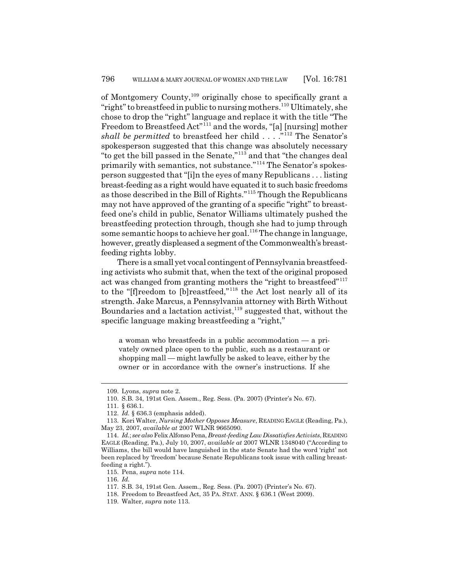of Montgomery County,109 originally chose to specifically grant a "right" to breastfeed in public to nursing mothers.<sup>110</sup> Ultimately, she chose to drop the "right" language and replace it with the title "The Freedom to Breastfeed Act<sup>"111</sup> and the words, "[a] [nursing] mother *shall be permitted* to breastfeed her child . . . . .<sup>"112</sup> The Senator's spokesperson suggested that this change was absolutely necessary "to get the bill passed in the Senate,"113 and that "the changes deal primarily with semantics, not substance."114 The Senator's spokesperson suggested that "[i]n the eyes of many Republicans . . . listing breast-feeding as a right would have equated it to such basic freedoms as those described in the Bill of Rights."115 Though the Republicans may not have approved of the granting of a specific "right" to breastfeed one's child in public, Senator Williams ultimately pushed the breastfeeding protection through, though she had to jump through some semantic hoops to achieve her goal.<sup>116</sup> The change in language, however, greatly displeased a segment of the Commonwealth's breastfeeding rights lobby.

There is a small yet vocal contingent of Pennsylvania breastfeeding activists who submit that, when the text of the original proposed act was changed from granting mothers the "right to breastfeed"<sup>117</sup> to the "[f]reedom to [b]reastfeed,"118 the Act lost nearly all of its strength. Jake Marcus, a Pennsylvania attorney with Birth Without Boundaries and a lactation activist, $119$  suggested that, without the specific language making breastfeeding a "right,"

a woman who breastfeeds in a public accommodation — a privately owned place open to the public, such as a restaurant or shopping mall — might lawfully be asked to leave, either by the owner or in accordance with the owner's instructions. If she

115. Pena, *supra* note 114.

116. *Id.*

<sup>109.</sup> Lyons, *supra* note 2.

<sup>110.</sup> S.B. 34, 191st Gen. Assem., Reg. Sess. (Pa. 2007) (Printer's No. 67).

<sup>111. § 636.1.</sup>

<sup>112.</sup> *Id.* § 636.3 (emphasis added).

<sup>113.</sup> Kori Walter, *Nursing Mother Opposes Measure*, READING EAGLE (Reading, Pa.), May 23, 2007, *available at* 2007 WLNR 9665090.

<sup>114.</sup> *Id.*; *see also* Felix Alfonso Pena, *Breast-feeding Law Dissatisfies Activists*, READING EAGLE (Reading, Pa.), July 10, 2007, *available at* 2007 WLNR 1348040 ("According to Williams, the bill would have languished in the state Senate had the word 'right' not been replaced by 'freedom' because Senate Republicans took issue with calling breastfeeding a right.").

<sup>117.</sup> S.B. 34, 191st Gen. Assem., Reg. Sess. (Pa. 2007) (Printer's No. 67).

<sup>118.</sup> Freedom to Breastfeed Act, 35 PA. STAT. ANN. § 636.1 (West 2009).

<sup>119.</sup> Walter, *supra* note 113.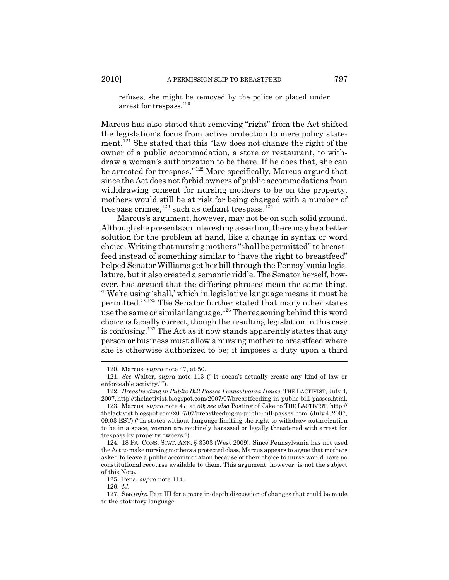refuses, she might be removed by the police or placed under arrest for trespass.<sup>120</sup>

Marcus has also stated that removing "right" from the Act shifted the legislation's focus from active protection to mere policy statement.121 She stated that this "law does not change the right of the owner of a public accommodation, a store or restaurant, to withdraw a woman's authorization to be there. If he does that, she can be arrested for trespass."122 More specifically, Marcus argued that since the Act does not forbid owners of public accommodations from withdrawing consent for nursing mothers to be on the property, mothers would still be at risk for being charged with a number of trespass crimes,<sup>123</sup> such as defiant trespass.<sup>124</sup>

Marcus's argument, however, may not be on such solid ground. Although she presents an interesting assertion, there may be a better solution for the problem at hand, like a change in syntax or word choice. Writing that nursing mothers "shall be permitted" to breastfeed instead of something similar to "have the right to breastfeed" helped Senator Williams get her bill through the Pennsylvania legislature, but it also created a semantic riddle. The Senator herself, however, has argued that the differing phrases mean the same thing. "'We're using 'shall,' which in legislative language means it must be permitted.'"125 The Senator further stated that many other states use the same or similar language.<sup>126</sup> The reasoning behind this word choice is facially correct, though the resulting legislation in this case is confusing.<sup>127</sup> The Act as it now stands apparently states that any person or business must allow a nursing mother to breastfeed where she is otherwise authorized to be; it imposes a duty upon a third

<sup>120.</sup> Marcus, *supra* note 47, at 50.

<sup>121.</sup> *See* Walter, *supra* note 113 (" 'It doesn't actually create any kind of law or enforceable activity.").

<sup>122.</sup> *Breastfeeding in Public Bill Passes Pennsylvania House*, THE LACTIVIST, July 4, 2007, http://thelactivist.blogspot.com/2007/07/breastfeeding-in-public-bill-passes.html.

<sup>123.</sup> Marcus, *supra* note 47, at 50; *see also* Posting of Jake to THE LACTIVIST, http:// thelactivist.blogspot.com/2007/07/breastfeeding-in-public-bill-passes.html (July 4, 2007, 09:03 EST) ("In states without language limiting the right to withdraw authorization to be in a space, women are routinely harassed or legally threatened with arrest for trespass by property owners.").

<sup>124. 18</sup> PA. CONS. STAT. ANN. § 3503 (West 2009). Since Pennsylvania has not used the Act to make nursing mothers a protected class, Marcus appears to argue that mothers asked to leave a public accommodation because of their choice to nurse would have no constitutional recourse available to them. This argument, however, is not the subject of this Note.

<sup>125.</sup> Pena, *supra* note 114.

<sup>126.</sup> *Id.*

<sup>127.</sup> See *infra* Part III for a more in-depth discussion of changes that could be made to the statutory language.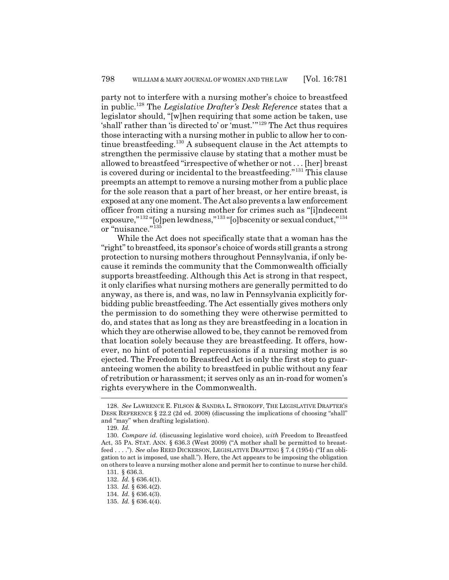party not to interfere with a nursing mother's choice to breastfeed in public.128 The *Legislative Drafter's Desk Reference* states that a legislator should, "[w]hen requiring that some action be taken, use 'shall' rather than 'is directed to' or 'must.'"129 The Act thus requires those interacting with a nursing mother in public to allow her to continue breastfeeding.130 A subsequent clause in the Act attempts to strengthen the permissive clause by stating that a mother must be allowed to breastfeed "irrespective of whether or not . . . [her] breast is covered during or incidental to the breastfeeding."<sup>131</sup> This clause preempts an attempt to remove a nursing mother from a public place for the sole reason that a part of her breast, or her entire breast, is exposed at any one moment. The Act also prevents a law enforcement officer from citing a nursing mother for crimes such as "[i]ndecent exposure,"132 "[o]pen lewdness,"133 "[o]bscenity or sexual conduct,"134 or "nuisance."<sup>135</sup>

While the Act does not specifically state that a woman has the "right" to breastfeed, its sponsor's choice of words still grants a strong protection to nursing mothers throughout Pennsylvania, if only because it reminds the community that the Commonwealth officially supports breastfeeding. Although this Act is strong in that respect, it only clarifies what nursing mothers are generally permitted to do anyway, as there is, and was, no law in Pennsylvania explicitly forbidding public breastfeeding. The Act essentially gives mothers only the permission to do something they were otherwise permitted to do, and states that as long as they are breastfeeding in a location in which they are otherwise allowed to be, they cannot be removed from that location solely because they are breastfeeding. It offers, however, no hint of potential repercussions if a nursing mother is so ejected. The Freedom to Breastfeed Act is only the first step to guaranteeing women the ability to breastfeed in public without any fear of retribution or harassment; it serves only as an in-road for women's rights everywhere in the Commonwealth.

<sup>128.</sup> *See* LAWRENCE E. FILSON & SANDRA L. STROKOFF, THE LEGISLATIVE DRAFTER'S DESK REFERENCE § 22.2 (2d ed. 2008) (discussing the implications of choosing "shall" and "may" when drafting legislation).

<sup>129.</sup> *Id.*

<sup>130.</sup> *Compare id.* (discussing legislative word choice), *with* Freedom to Breastfeed Act, 35 PA. STAT. ANN. § 636.3 (West 2009) ("A mother shall be permitted to breastfeed . . . ."). *See also* REED DICKERSON, LEGISLATIVE DRAFTING § 7.4 (1954) ("If an obligation to act is imposed, use shall."). Here, the Act appears to be imposing the obligation on others to leave a nursing mother alone and permit her to continue to nurse her child.

<sup>131. § 636.3.</sup>

<sup>132.</sup> *Id.* § 636.4(1).

<sup>133.</sup> *Id.* § 636.4(2).

<sup>134.</sup> *Id.* § 636.4(3).

<sup>135.</sup> *Id.* § 636.4(4).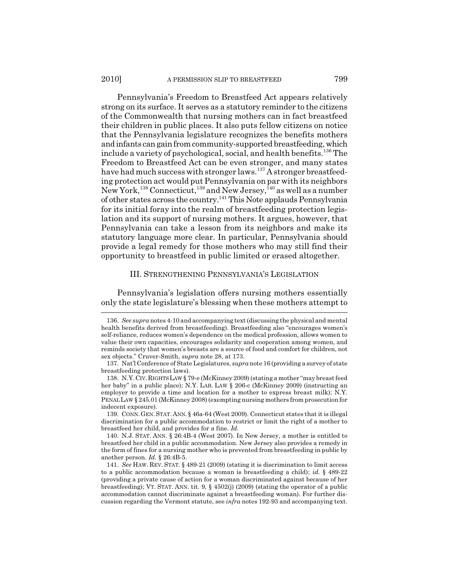Pennsylvania's Freedom to Breastfeed Act appears relatively strong on its surface. It serves as a statutory reminder to the citizens of the Commonwealth that nursing mothers can in fact breastfeed their children in public places. It also puts fellow citizens on notice that the Pennsylvania legislature recognizes the benefits mothers and infants can gain from community-supported breastfeeding, which include a variety of psychological, social, and health benefits.<sup>136</sup> The Freedom to Breastfeed Act can be even stronger, and many states have had much success with stronger laws.<sup>137</sup> A stronger breastfeeding protection act would put Pennsylvania on par with its neighbors New York,<sup>138</sup> Connecticut,<sup>139</sup> and New Jersey,<sup>140</sup> as well as a number of other states across the country.141 This Note applauds Pennsylvania for its initial foray into the realm of breastfeeding protection legislation and its support of nursing mothers. It argues, however, that Pennsylvania can take a lesson from its neighbors and make its statutory language more clear. In particular, Pennsylvania should provide a legal remedy for those mothers who may still find their opportunity to breastfeed in public limited or erased altogether.

#### III. STRENGTHENING PENNSYLVANIA'S LEGISLATION

Pennsylvania's legislation offers nursing mothers essentially only the state legislature's blessing when these mothers attempt to

<sup>136.</sup> *See supra* notes 4-10 and accompanying text (discussing the physical and mental health benefits derived from breastfeeding). Breastfeeding also "encourages women's self-reliance, reduces women's dependence on the medical profession, allows women to value their own capacities, encourages solidarity and cooperation among women, and reminds society that women's breasts are a source of food and comfort for children, not sex objects." Cruver-Smith, *supra* note 28, at 173.

<sup>137.</sup> Nat'l Conference of State Legislatures, *supra* note 16 (providing a survey of state breastfeeding protection laws).

<sup>138.</sup> N.Y.CIV.RIGHTS LAW § 79-e (McKinney 2009) (stating a mother "may breast feed her baby" in a public place); N.Y. LAB. LAW § 206-c (McKinney 2009) (instructing an employer to provide a time and location for a mother to express breast milk); N.Y. PENAL LAW § 245.01 (McKinney 2008) (exempting nursing mothers from prosecution for indecent exposure).

<sup>139.</sup> CONN.GEN.STAT. ANN. § 46a-64 (West 2009). Connecticut states that it is illegal discrimination for a public accommodation to restrict or limit the right of a mother to breastfeed her child, and provides for a fine. *Id.*

<sup>140.</sup> N.J. STAT. ANN. § 26:4B-4 (West 2007). In New Jersey, a mother is entitled to breastfeed her child in a public accommodation. New Jersey also provides a remedy in the form of fines for a nursing mother who is prevented from breastfeeding in public by another person. *Id.* § 26:4B-5.

<sup>141.</sup> *See* HAW. REV. STAT. § 489-21 (2009) (stating it is discrimination to limit access to a public accommodation because a woman is breastfeeding a child); *id.* § 489-22 (providing a private cause of action for a woman discriminated against because of her breastfeeding); VT. STAT. ANN. tit. 9, § 4502(j) (2009) (stating the operator of a public accommodation cannot discriminate against a breastfeeding woman). For further discussion regarding the Vermont statute, see *infra* notes 192-93 and accompanying text.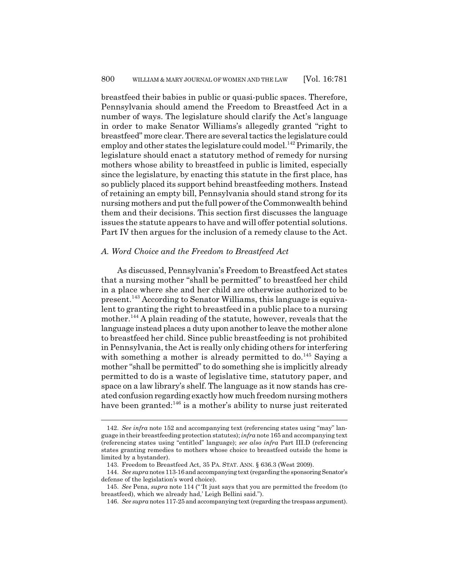breastfeed their babies in public or quasi-public spaces. Therefore, Pennsylvania should amend the Freedom to Breastfeed Act in a number of ways. The legislature should clarify the Act's language in order to make Senator Williams's allegedly granted "right to breastfeed" more clear. There are several tactics the legislature could employ and other states the legislature could model.<sup>142</sup> Primarily, the legislature should enact a statutory method of remedy for nursing mothers whose ability to breastfeed in public is limited, especially since the legislature, by enacting this statute in the first place, has so publicly placed its support behind breastfeeding mothers. Instead of retaining an empty bill, Pennsylvania should stand strong for its nursing mothers and put the full power of the Commonwealth behind them and their decisions. This section first discusses the language issues the statute appears to have and will offer potential solutions. Part IV then argues for the inclusion of a remedy clause to the Act.

#### *A. Word Choice and the Freedom to Breastfeed Act*

As discussed, Pennsylvania's Freedom to Breastfeed Act states that a nursing mother "shall be permitted" to breastfeed her child in a place where she and her child are otherwise authorized to be present.143 According to Senator Williams, this language is equivalent to granting the right to breastfeed in a public place to a nursing mother.<sup>144</sup> A plain reading of the statute, however, reveals that the language instead places a duty upon another to leave the mother alone to breastfeed her child. Since public breastfeeding is not prohibited in Pennsylvania, the Act is really only chiding others for interfering with something a mother is already permitted to do.<sup>145</sup> Saying a mother "shall be permitted" to do something she is implicitly already permitted to do is a waste of legislative time, statutory paper, and space on a law library's shelf. The language as it now stands has created confusion regarding exactly how much freedom nursing mothers have been granted: $146$  is a mother's ability to nurse just reiterated

<sup>142.</sup> *See infra* note 152 and accompanying text (referencing states using "may" language in their breastfeeding protection statutes); *infra* note 165 and accompanying text (referencing states using "entitled" language); *see also infra* Part III.D (referencing states granting remedies to mothers whose choice to breastfeed outside the home is limited by a bystander).

<sup>143.</sup> Freedom to Breastfeed Act, 35 PA. STAT. ANN. § 636.3 (West 2009).

<sup>144.</sup> *See supra* notes 113-16 and accompanying text (regarding the sponsoring Senator's defense of the legislation's word choice).

<sup>145.</sup> *See* Pena, *supra* note 114 (" 'It just says that you are permitted the freedom (to breastfeed), which we already had,' Leigh Bellini said.").

<sup>146.</sup> *See supra* notes 117-25 and accompanying text (regarding the trespass argument).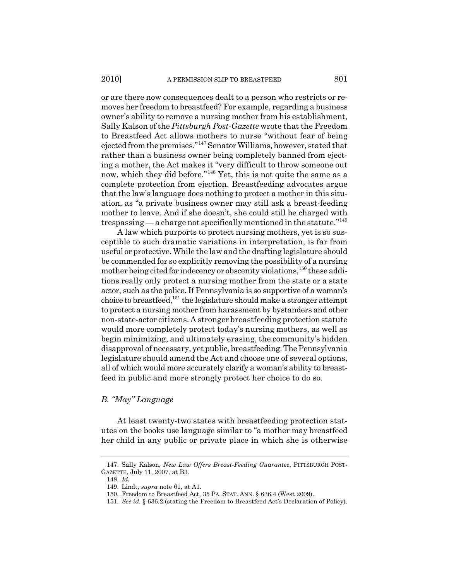or are there now consequences dealt to a person who restricts or removes her freedom to breastfeed? For example, regarding a business owner's ability to remove a nursing mother from his establishment, Sally Kalson of the *Pittsburgh Post-Gazette* wrote that the Freedom to Breastfeed Act allows mothers to nurse "without fear of being ejected from the premises."147 Senator Williams, however, stated that rather than a business owner being completely banned from ejecting a mother, the Act makes it "very difficult to throw someone out now, which they did before."148 Yet, this is not quite the same as a complete protection from ejection. Breastfeeding advocates argue that the law's language does nothing to protect a mother in this situation, as "a private business owner may still ask a breast-feeding mother to leave. And if she doesn't, she could still be charged with trespassing — a charge not specifically mentioned in the statute.<sup>"149</sup>

A law which purports to protect nursing mothers, yet is so susceptible to such dramatic variations in interpretation, is far from useful or protective. While the law and the drafting legislature should be commended for so explicitly removing the possibility of a nursing mother being cited for indecency or obscenity violations,<sup>150</sup> these additions really only protect a nursing mother from the state or a state actor, such as the police. If Pennsylvania is so supportive of a woman's choice to breastfeed,  $^{151}$  the legislature should make a stronger attempt to protect a nursing mother from harassment by bystanders and other non-state-actor citizens. A stronger breastfeeding protection statute would more completely protect today's nursing mothers, as well as begin minimizing, and ultimately erasing, the community's hidden disapproval of necessary, yet public, breastfeeding. The Pennsylvania legislature should amend the Act and choose one of several options, all of which would more accurately clarify a woman's ability to breastfeed in public and more strongly protect her choice to do so.

## *B. "May" Language*

At least twenty-two states with breastfeeding protection statutes on the books use language similar to "a mother may breastfeed her child in any public or private place in which she is otherwise

<sup>147.</sup> Sally Kalson, *New Law Offers Breast-Feeding Guarantee*, PITTSBURGH POST-GAZETTE, July 11, 2007, at B3.

<sup>148.</sup> *Id.*

<sup>149.</sup> Lindt, *supra* note 61, at A1.

<sup>150.</sup> Freedom to Breastfeed Act, 35 PA. STAT. ANN. § 636.4 (West 2009).

<sup>151.</sup> *See id.* § 636.2 (stating the Freedom to Breastfeed Act's Declaration of Policy).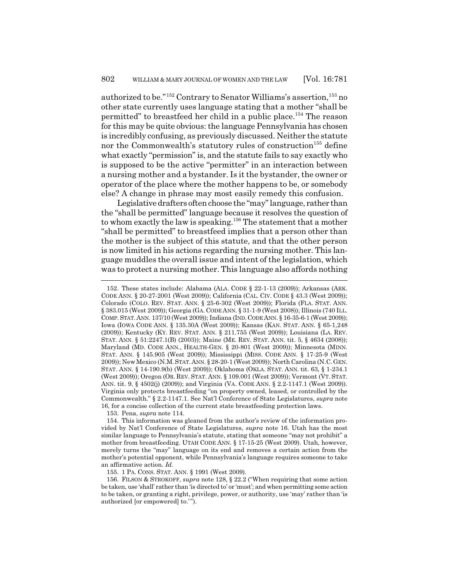authorized to be."<sup>152</sup> Contrary to Senator Williams's assertion.<sup>153</sup> no other state currently uses language stating that a mother "shall be permitted" to breastfeed her child in a public place.<sup>154</sup> The reason for this may be quite obvious: the language Pennsylvania has chosen is incredibly confusing, as previously discussed. Neither the statute nor the Commonwealth's statutory rules of construction<sup>155</sup> define what exactly "permission" is, and the statute fails to say exactly who is supposed to be the active "permitter" in an interaction between a nursing mother and a bystander. Is it the bystander, the owner or operator of the place where the mother happens to be, or somebody else? A change in phrase may most easily remedy this confusion.

Legislative drafters often choose the "may" language, rather than the "shall be permitted" language because it resolves the question of to whom exactly the law is speaking.<sup>156</sup> The statement that a mother "shall be permitted" to breastfeed implies that a person other than the mother is the subject of this statute, and that the other person is now limited in his actions regarding the nursing mother. This language muddles the overall issue and intent of the legislation, which was to protect a nursing mother. This language also affords nothing

153. Pena, *supra* note 114.

155. 1 PA. CONS. STAT. ANN. § 1991 (West 2009).

<sup>152.</sup> These states include: Alabama (ALA. CODE § 22-1-13 (2009)); Arkansas (ARK. CODE ANN. § 20-27-2001 (West 2009)); California (CAL. CIV. CODE § 43.3 (West 2009)); Colorado (COLO. REV. STAT. ANN. § 25-6-302 (West 2009)); Florida (FLA. STAT. ANN. § 383.015 (West 2009)); Georgia (GA. CODE ANN. § 31-1-9 (West 2008)); Illinois (740 ILL. COMP.STAT. ANN. 137/10 (West 2009)); Indiana (IND.CODE ANN. § 16-35-6-1 (West 2009)); Iowa (IOWA CODE ANN. § 135.30A (West 2009)); Kansas (KAN. STAT. ANN. § 65-1,248 (2009)); Kentucky (KY. REV. STAT. ANN. § 211.755 (West 2009)); Louisiana (LA. REV. STAT. ANN. § 51:2247.1(B) (2003)); Maine (ME. REV. STAT. ANN. tit. 5, § 4634 (2008)); Maryland (MD. CODE ANN., HEALTH-GEN. § 20-801 (West 2009)); Minnesota (MINN. STAT. ANN. § 145.905 (West 2009)); Mississippi (MISS. CODE ANN. § 17-25-9 (West 2009)); New Mexico (N.M.STAT.ANN. § 28-20-1 (West 2009)); North Carolina (N.C.GEN. STAT. ANN. § 14-190.9(b) (West 2009)); Oklahoma (OKLA. STAT. ANN. tit. 63, § 1-234.1 (West 2009)); Oregon (OR. REV. STAT. ANN. § 109.001 (West 2009)); Vermont (VT. STAT. ANN. tit. 9, § 4502(j) (2009)); and Virginia (VA. CODE ANN. § 2.2-1147.1 (West 2009)). Virginia only protects breastfeeding "on property owned, leased, or controlled by the Commonwealth." § 2.2-1147.1. See Nat'l Conference of State Legislatures, *supra* note 16, for a concise collection of the current state breastfeeding protection laws.

<sup>154.</sup> This information was gleaned from the author's review of the information provided by Nat'l Conference of State Legislatures, *supra* note 16. Utah has the most similar language to Pennsylvania's statute, stating that someone "may not prohibit" a mother from breastfeeding. UTAH CODE ANN. § 17-15-25 (West 2009). Utah, however, merely turns the "may" language on its end and removes a certain action from the mother's potential opponent, while Pennsylvania's language requires someone to take an affirmative action. *Id.*

<sup>156.</sup> FILSON & STROKOFF, *supra* note 128, § 22.2 ("When requiring that some action be taken, use 'shall' rather than 'is directed to' or 'must'; and when permitting some action to be taken, or granting a right, privilege, power, or authority, use 'may' rather than 'is authorized [or empowered] to."").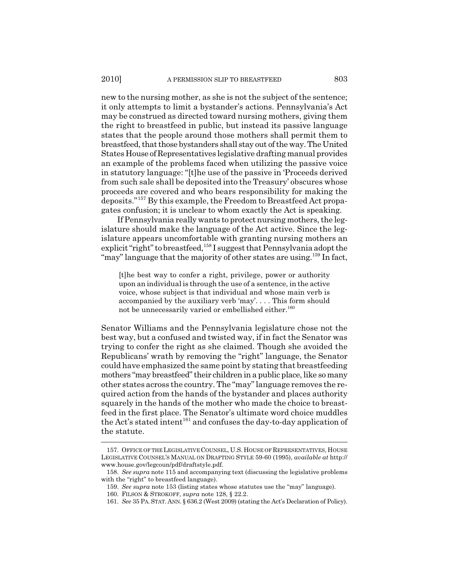new to the nursing mother, as she is not the subject of the sentence; it only attempts to limit a bystander's actions. Pennsylvania's Act may be construed as directed toward nursing mothers, giving them the right to breastfeed in public, but instead its passive language states that the people around those mothers shall permit them to breastfeed, that those bystanders shall stay out of the way. The United States House of Representatives legislative drafting manual provides an example of the problems faced when utilizing the passive voice in statutory language: "[t]he use of the passive in 'Proceeds derived from such sale shall be deposited into the Treasury' obscures whose proceeds are covered and who bears responsibility for making the deposits."157 By this example, the Freedom to Breastfeed Act propagates confusion; it is unclear to whom exactly the Act is speaking.

If Pennsylvania really wants to protect nursing mothers, the legislature should make the language of the Act active. Since the legislature appears uncomfortable with granting nursing mothers an explicit "right" to breastfeed,<sup>158</sup> I suggest that Pennsylvania adopt the "may" language that the majority of other states are using.<sup>159</sup> In fact,

[t]he best way to confer a right, privilege, power or authority upon an individual is through the use of a sentence, in the active voice, whose subject is that individual and whose main verb is accompanied by the auxiliary verb 'may'. . . . This form should not be unnecessarily varied or embellished either.<sup>160</sup>

Senator Williams and the Pennsylvania legislature chose not the best way, but a confused and twisted way, if in fact the Senator was trying to confer the right as she claimed. Though she avoided the Republicans' wrath by removing the "right" language, the Senator could have emphasized the same point by stating that breastfeeding mothers "may breastfeed" their children in a public place, like so many other states across the country. The "may" language removes the required action from the hands of the bystander and places authority squarely in the hands of the mother who made the choice to breastfeed in the first place. The Senator's ultimate word choice muddles the Act's stated intent<sup>161</sup> and confuses the day-to-day application of the statute.

<sup>157.</sup> OFFICE OF THE LEGISLATIVE COUNSEL, U.S. HOUSE OF REPRESENTATIVES, HOUSE LEGISLATIVE COUNSEL'S MANUAL ON DRAFTING STYLE 59-60 (1995), *available at* http:// www.house.gov/legcoun/pdf/draftstyle.pdf.

<sup>158.</sup> *See supra* note 115 and accompanying text (discussing the legislative problems with the "right" to breastfeed language).

<sup>159.</sup> *See supra* note 153 (listing states whose statutes use the "may" language).

<sup>160.</sup> FILSON & STROKOFF, *supra* note 128, § 22.2.

<sup>161.</sup> *See* 35 PA. STAT. ANN. § 636.2 (West 2009) (stating the Act's Declaration of Policy).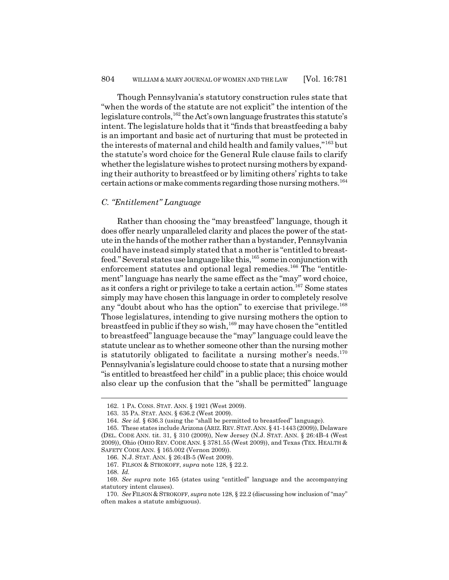Though Pennsylvania's statutory construction rules state that "when the words of the statute are not explicit" the intention of the legislature controls,<sup>162</sup> the Act's own language frustrates this statute's intent. The legislature holds that it "finds that breastfeeding a baby is an important and basic act of nurturing that must be protected in the interests of maternal and child health and family values,"163 but the statute's word choice for the General Rule clause fails to clarify whether the legislature wishes to protect nursing mothers by expanding their authority to breastfeed or by limiting others' rights to take certain actions or make comments regarding those nursing mothers.<sup>164</sup>

## *C. "Entitlement" Language*

Rather than choosing the "may breastfeed" language, though it does offer nearly unparalleled clarity and places the power of the statute in the hands of the mother rather than a bystander, Pennsylvania could have instead simply stated that a mother is "entitled to breastfeed." Several states use language like this,165 some in conjunction with enforcement statutes and optional legal remedies.<sup>166</sup> The "entitlement" language has nearly the same effect as the "may" word choice, as it confers a right or privilege to take a certain action.<sup>167</sup> Some states simply may have chosen this language in order to completely resolve any "doubt about who has the option" to exercise that privilege.<sup>168</sup> Those legislatures, intending to give nursing mothers the option to breastfeed in public if they so wish,  $169$  may have chosen the "entitled to breastfeed" language because the "may" language could leave the statute unclear as to whether someone other than the nursing mother is statutorily obligated to facilitate a nursing mother's needs. $170$ Pennsylvania's legislature could choose to state that a nursing mother "is entitled to breastfeed her child" in a public place; this choice would also clear up the confusion that the "shall be permitted" language

<sup>162. 1</sup> PA. CONS. STAT. ANN. § 1921 (West 2009).

<sup>163. 35</sup> PA. STAT. ANN. § 636.2 (West 2009).

<sup>164.</sup> *See id.* § 636.3 (using the "shall be permitted to breastfeed" language).

<sup>165.</sup> These states include Arizona (ARIZ.REV.STAT.ANN. § 41-1443 (2009)), Delaware (DEL. CODE ANN. tit. 31, § 310 (2009)), New Jersey (N.J. STAT. ANN. § 26:4B-4 (West 2009)), Ohio (OHIO REV. CODE ANN. § 3781.55 (West 2009)), and Texas (TEX. HEALTH & SAFETY CODE ANN. § 165.002 (Vernon 2009)).

<sup>166.</sup> N.J. STAT. ANN. § 26:4B-5 (West 2009).

<sup>167.</sup> FILSON & STROKOFF, *supra* note 128, § 22.2.

<sup>168.</sup> *Id.*

<sup>169.</sup> *See supra* note 165 (states using "entitled" language and the accompanying statutory intent clauses).

<sup>170.</sup> *See*FILSON & STROKOFF, *supra* note 128, § 22.2 (discussing how inclusion of "may" often makes a statute ambiguous).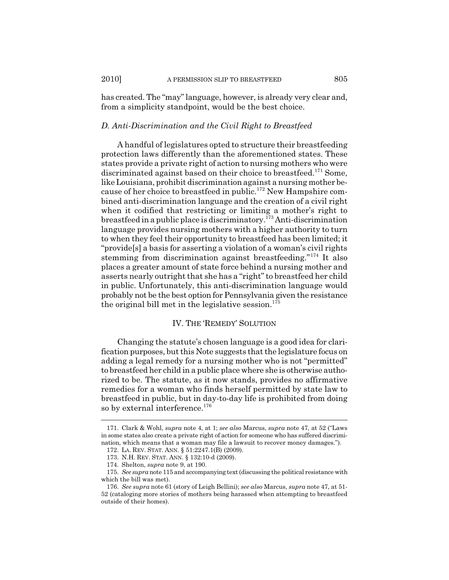has created. The "may" language, however, is already very clear and, from a simplicity standpoint, would be the best choice.

#### *D. Anti-Discrimination and the Civil Right to Breastfeed*

A handful of legislatures opted to structure their breastfeeding protection laws differently than the aforementioned states. These states provide a private right of action to nursing mothers who were discriminated against based on their choice to breastfeed.<sup>171</sup> Some, like Louisiana, prohibit discrimination against a nursing mother because of her choice to breastfeed in public.172 New Hampshire combined anti-discrimination language and the creation of a civil right when it codified that restricting or limiting a mother's right to breastfeed in a public place is discriminatory.173 Anti-discrimination language provides nursing mothers with a higher authority to turn to when they feel their opportunity to breastfeed has been limited; it "provide[s] a basis for asserting a violation of a woman's civil rights stemming from discrimination against breastfeeding."<sup>174</sup> It also places a greater amount of state force behind a nursing mother and asserts nearly outright that she has a "right" to breastfeed her child in public. Unfortunately, this anti-discrimination language would probably not be the best option for Pennsylvania given the resistance the original bill met in the legislative session.<sup>175</sup>

## IV. THE 'REMEDY' SOLUTION

Changing the statute's chosen language is a good idea for clarification purposes, but this Note suggests that the legislature focus on adding a legal remedy for a nursing mother who is not "permitted" to breastfeed her child in a public place where she is otherwise authorized to be. The statute, as it now stands, provides no affirmative remedies for a woman who finds herself permitted by state law to breastfeed in public, but in day-to-day life is prohibited from doing so by external interference.<sup>176</sup>

<sup>171.</sup> Clark & Wohl, *supra* note 4, at 1; *see also* Marcus, *supra* note 47, at 52 ("Laws in some states also create a private right of action for someone who has suffered discrimination, which means that a woman may file a lawsuit to recover money damages.").

<sup>172.</sup> LA. REV. STAT. ANN. § 51:2247.1(B) (2009).

<sup>173.</sup> N.H. REV. STAT. ANN. § 132:10-d (2009).

<sup>174.</sup> Shelton, *supra* note 9, at 190.

<sup>175.</sup> *See supra* note 115 and accompanying text (discussing the political resistance with which the bill was met).

<sup>176.</sup> *See supra* note 61 (story of Leigh Bellini); *see also* Marcus, *supra* note 47, at 51- 52 (cataloging more stories of mothers being harassed when attempting to breastfeed outside of their homes).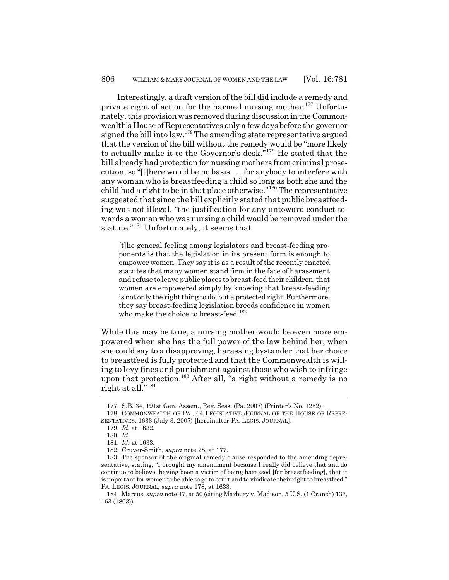Interestingly, a draft version of the bill did include a remedy and private right of action for the harmed nursing mother.<sup>177</sup> Unfortunately, this provision was removed during discussion in the Commonwealth's House of Representatives only a few days before the governor signed the bill into law.178 The amending state representative argued that the version of the bill without the remedy would be "more likely to actually make it to the Governor's desk."179 He stated that the bill already had protection for nursing mothers from criminal prosecution, so "[t]here would be no basis . . . for anybody to interfere with any woman who is breastfeeding a child so long as both she and the child had a right to be in that place otherwise."180 The representative suggested that since the bill explicitly stated that public breastfeeding was not illegal, "the justification for any untoward conduct towards a woman who was nursing a child would be removed under the statute."181 Unfortunately, it seems that

[t]he general feeling among legislators and breast-feeding proponents is that the legislation in its present form is enough to empower women. They say it is as a result of the recently enacted statutes that many women stand firm in the face of harassment and refuse to leave public places to breast-feed their children, that women are empowered simply by knowing that breast-feeding is not only the right thing to do, but a protected right. Furthermore, they say breast-feeding legislation breeds confidence in women who make the choice to breast-feed.<sup>182</sup>

While this may be true, a nursing mother would be even more empowered when she has the full power of the law behind her, when she could say to a disapproving, harassing bystander that her choice to breastfeed is fully protected and that the Commonwealth is willing to levy fines and punishment against those who wish to infringe upon that protection.<sup>183</sup> After all, "a right without a remedy is no right at all."<sup>184</sup>

<sup>177.</sup> S.B. 34, 191st Gen. Assem., Reg. Sess. (Pa. 2007) (Printer's No. 1252).

<sup>178.</sup> COMMONWEALTH OF PA., 64 LEGISLATIVE JOURNAL OF THE HOUSE OF REPRE-SENTATIVES, 1633 (July 3, 2007) [hereinafter PA. LEGIS. JOURNAL].

<sup>179.</sup> *Id.* at 1632.

<sup>180.</sup> *Id.*

<sup>181.</sup> *Id.* at 1633.

<sup>182.</sup> Cruver-Smith, *supra* note 28, at 177.

<sup>183.</sup> The sponsor of the original remedy clause responded to the amending representative, stating, "I brought my amendment because I really did believe that and do continue to believe, having been a victim of being harassed [for breastfeeding], that it is important for women to be able to go to court and to vindicate their right to breastfeed." PA. LEGIS. JOURNAL, *supra* note 178, at 1633.

<sup>184.</sup> Marcus, *supra* note 47, at 50 (citing Marbury v. Madison, 5 U.S. (1 Cranch) 137, 163 (1803)).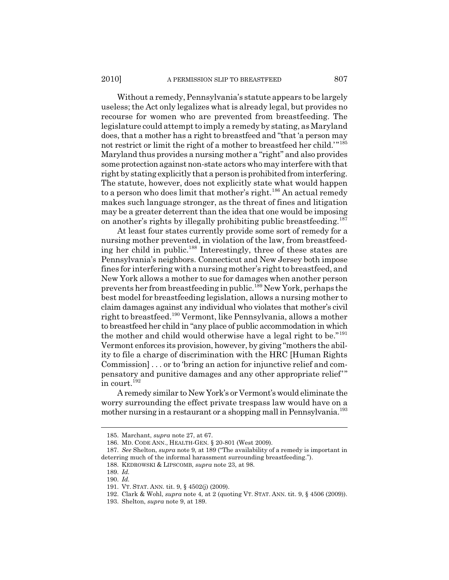Without a remedy, Pennsylvania's statute appears to be largely useless; the Act only legalizes what is already legal, but provides no recourse for women who are prevented from breastfeeding. The legislature could attempt to imply a remedy by stating, as Maryland does, that a mother has a right to breastfeed and "that 'a person may not restrict or limit the right of a mother to breastfeed her child.'"<sup>185</sup> Maryland thus provides a nursing mother a "right" and also provides some protection against non-state actors who may interfere with that right by stating explicitly that a person is prohibited from interfering. The statute, however, does not explicitly state what would happen to a person who does limit that mother's right.<sup>186</sup> An actual remedy makes such language stronger, as the threat of fines and litigation may be a greater deterrent than the idea that one would be imposing on another's rights by illegally prohibiting public breastfeeding.<sup>187</sup>

At least four states currently provide some sort of remedy for a nursing mother prevented, in violation of the law, from breastfeeding her child in public.188 Interestingly, three of these states are Pennsylvania's neighbors. Connecticut and New Jersey both impose fines for interfering with a nursing mother's right to breastfeed, and New York allows a mother to sue for damages when another person prevents her from breastfeeding in public.189 New York, perhaps the best model for breastfeeding legislation, allows a nursing mother to claim damages against any individual who violates that mother's civil right to breastfeed.190 Vermont, like Pennsylvania, allows a mother to breastfeed her child in "any place of public accommodation in which the mother and child would otherwise have a legal right to be."<sup>191</sup> Vermont enforces its provision, however, by giving "mothers the ability to file a charge of discrimination with the HRC [Human Rights Commission] . . . or to 'bring an action for injunctive relief and compensatory and punitive damages and any other appropriate relief'" in court.<sup>192</sup>

A remedy similar to New York's or Vermont's would eliminate the worry surrounding the effect private trespass law would have on a mother nursing in a restaurant or a shopping mall in Pennsylvania.<sup>193</sup>

<sup>185.</sup> Marchant, *supra* note 27, at 67.

<sup>186.</sup> MD. CODE ANN., HEALTH-GEN. § 20-801 (West 2009).

<sup>187.</sup> *See* Shelton, *supra* note 9, at 189 ("The availability of a remedy is important in deterring much of the informal harassment surrounding breastfeeding.").

<sup>188.</sup> KEDROWSKI & LIPSCOMB, *supra* note 23, at 98.

<sup>189.</sup> *Id.*

<sup>190.</sup> *Id.*

<sup>191.</sup> VT. STAT. ANN. tit. 9, § 4502(j) (2009).

<sup>192.</sup> Clark & Wohl, *supra* note 4, at 2 (quoting VT. STAT. ANN. tit. 9, § 4506 (2009)).

<sup>193.</sup> Shelton, *supra* note 9, at 189.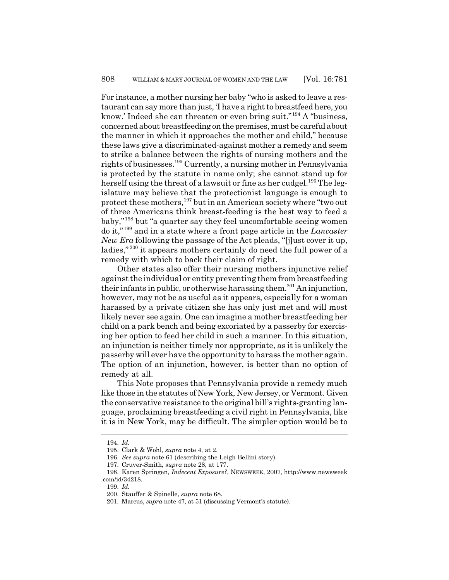For instance, a mother nursing her baby "who is asked to leave a restaurant can say more than just, 'I have a right to breastfeed here, you know.' Indeed she can threaten or even bring suit."<sup>194</sup> A "business, concerned about breastfeeding on the premises, must be careful about the manner in which it approaches the mother and child," because these laws give a discriminated-against mother a remedy and seem to strike a balance between the rights of nursing mothers and the rights of businesses.195 Currently, a nursing mother in Pennsylvania is protected by the statute in name only; she cannot stand up for herself using the threat of a lawsuit or fine as her cudgel.<sup>196</sup> The legislature may believe that the protectionist language is enough to protect these mothers,  $197$  but in an American society where "two out of three Americans think breast-feeding is the best way to feed a baby,"198 but "a quarter say they feel uncomfortable seeing women do it,"199 and in a state where a front page article in the *Lancaster New Era* following the passage of the Act pleads, "[j]ust cover it up, ladies,"<sup>200</sup> it appears mothers certainly do need the full power of a remedy with which to back their claim of right.

Other states also offer their nursing mothers injunctive relief against the individual or entity preventing them from breastfeeding their infants in public, or otherwise harassing them.<sup>201</sup> An injunction, however, may not be as useful as it appears, especially for a woman harassed by a private citizen she has only just met and will most likely never see again. One can imagine a mother breastfeeding her child on a park bench and being excoriated by a passerby for exercising her option to feed her child in such a manner. In this situation, an injunction is neither timely nor appropriate, as it is unlikely the passerby will ever have the opportunity to harass the mother again. The option of an injunction, however, is better than no option of remedy at all.

This Note proposes that Pennsylvania provide a remedy much like those in the statutes of New York, New Jersey, or Vermont. Given the conservative resistance to the original bill's rights-granting language, proclaiming breastfeeding a civil right in Pennsylvania, like it is in New York, may be difficult. The simpler option would be to

<sup>194.</sup> *Id.*

<sup>195.</sup> Clark & Wohl, *supra* note 4, at 2.

<sup>196.</sup> *See supra* note 61 (describing the Leigh Bellini story).

<sup>197.</sup> Cruver-Smith, *supra* note 28, at 177.

<sup>198.</sup> Karen Springen, *Indecent Exposure?*, NEWSWEEK, 2007, http://www.newsweek .com/id/34218.

<sup>199.</sup> *Id.*

<sup>200.</sup> Stauffer & Spinelle, *supra* note 68.

<sup>201.</sup> Marcus, *supra* note 47, at 51 (discussing Vermont's statute).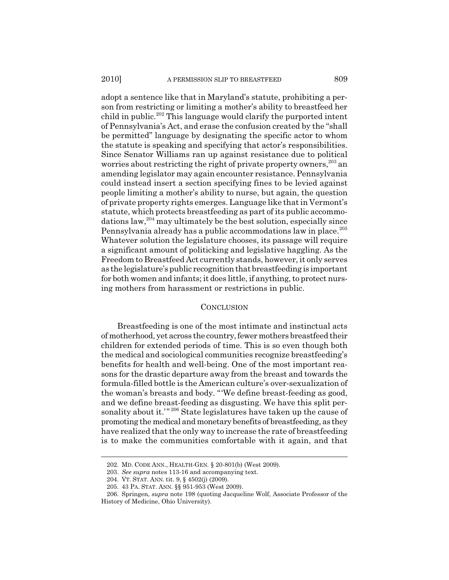#### 2010] A PERMISSION SLIP TO BREASTFEED 809

adopt a sentence like that in Maryland's statute, prohibiting a person from restricting or limiting a mother's ability to breastfeed her child in public.<sup>202</sup> This language would clarify the purported intent of Pennsylvania's Act, and erase the confusion created by the "shall be permitted" language by designating the specific actor to whom the statute is speaking and specifying that actor's responsibilities. Since Senator Williams ran up against resistance due to political worries about restricting the right of private property owners,  $203$  an amending legislator may again encounter resistance. Pennsylvania could instead insert a section specifying fines to be levied against people limiting a mother's ability to nurse, but again, the question of private property rights emerges. Language like that in Vermont's statute, which protects breastfeeding as part of its public accommodations  $\text{law}$ ,  $^{204}$  may ultimately be the best solution, especially since Pennsylvania already has a public accommodations law in place.<sup>205</sup> Whatever solution the legislature chooses, its passage will require a significant amount of politicking and legislative haggling. As the Freedom to Breastfeed Act currently stands, however, it only serves as the legislature's public recognition that breastfeeding is important for both women and infants; it does little, if anything, to protect nursing mothers from harassment or restrictions in public.

#### **CONCLUSION**

Breastfeeding is one of the most intimate and instinctual acts of motherhood, yet across the country, fewer mothers breastfeed their children for extended periods of time. This is so even though both the medical and sociological communities recognize breastfeeding's benefits for health and well-being. One of the most important reasons for the drastic departure away from the breast and towards the formula-filled bottle is the American culture's over-sexualization of the woman's breasts and body. "'We define breast-feeding as good, and we define breast-feeding as disgusting. We have this split personality about it."<sup>206</sup> State legislatures have taken up the cause of promoting the medical and monetary benefits of breastfeeding, as they have realized that the only way to increase the rate of breastfeeding is to make the communities comfortable with it again, and that

<sup>202.</sup> MD. CODE ANN., HEALTH-GEN. § 20-801(b) (West 2009).

<sup>203.</sup> *See supra* notes 113-16 and accompanying text.

<sup>204.</sup> VT. STAT. ANN. tit. 9, § 4502(j) (2009).

<sup>205. 43</sup> PA. STAT. ANN. §§ 951-953 (West 2009).

<sup>206.</sup> Springen, *supra* note 198 (quoting Jacqueline Wolf, Associate Professor of the History of Medicine, Ohio University).